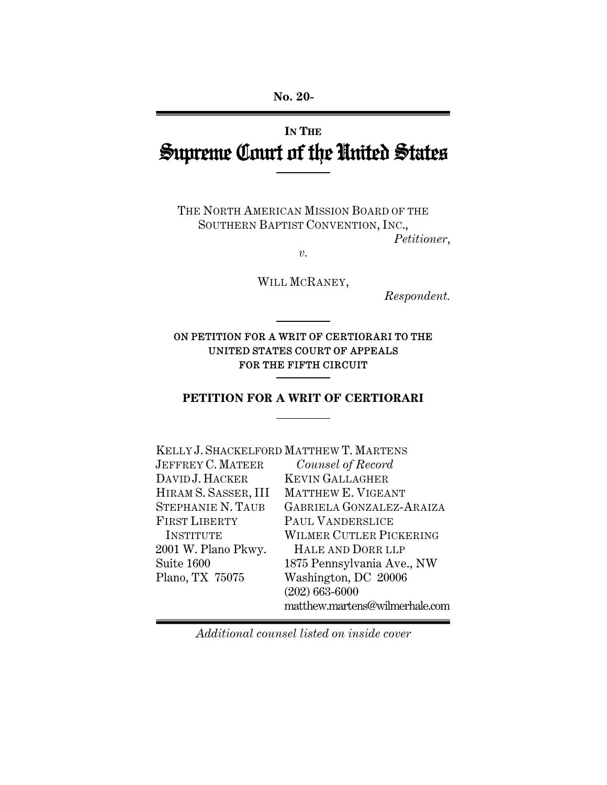# **IN THE** Supreme Court of the United States

THE NORTH AMERICAN MISSION BOARD OF THE SOUTHERN BAPTIST CONVENTION, INC., *Petitioner*,

*v.* 

WILL MCRANEY,

*Respondent.* 

### ON PETITION FOR A WRIT OF CERTIORARI TO THE UNITED STATES COURT OF APPEALS FOR THE FIFTH CIRCUIT

### **PETITION FOR A WRIT OF CERTIORARI**

| KELLY J. SHACKELFORD MATTHEW T. MARTENS |
|-----------------------------------------|
| Counsel of Record                       |
| <b>KEVIN GALLAGHER</b>                  |
| MATTHEW E. VIGEANT                      |
| GABRIELA GONZALEZ-ARAIZA                |
| PAUL VANDERSLICE                        |
| WILMER CUTLER PICKERING                 |
| HALE AND DORR LLP                       |
| 1875 Pennsylvania Ave., NW              |
| Washington, DC 20006                    |
| $(202)$ 663-6000                        |
| matthew.martens@wilmerhale.com          |
|                                         |

*Additional counsel listed on inside cover*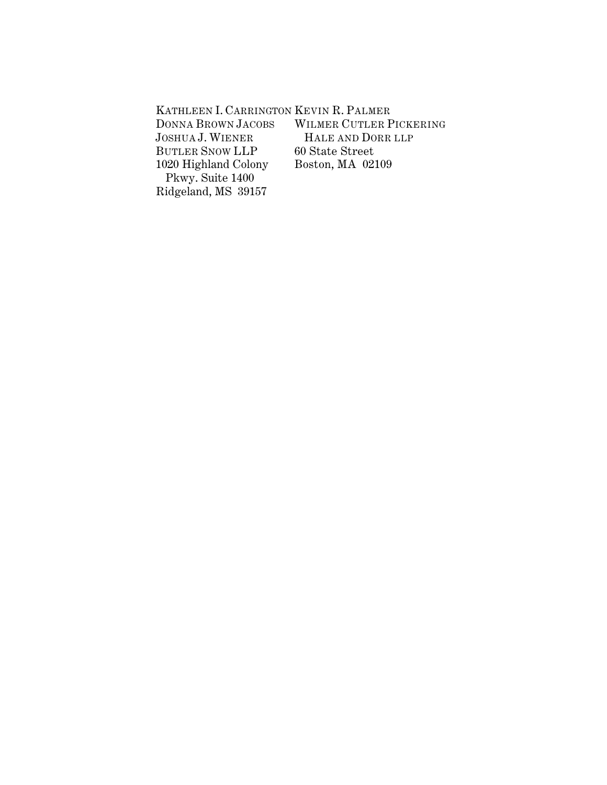| KATHLEEN I. CARRINGTON KEVIN R. PALMER |                         |
|----------------------------------------|-------------------------|
| <b>DONNA BROWN JACOBS</b>              | WILMER CUTLER PICKERING |
| <b>JOSHUA J. WIENER</b>                | HALE AND DORR LLP       |
| <b>BUTLER SNOW LLP</b>                 | 60 State Street         |
| 1020 Highland Colony                   | Boston, MA 02109        |
| Pkwy. Suite 1400                       |                         |
| Ridgeland, MS 39157                    |                         |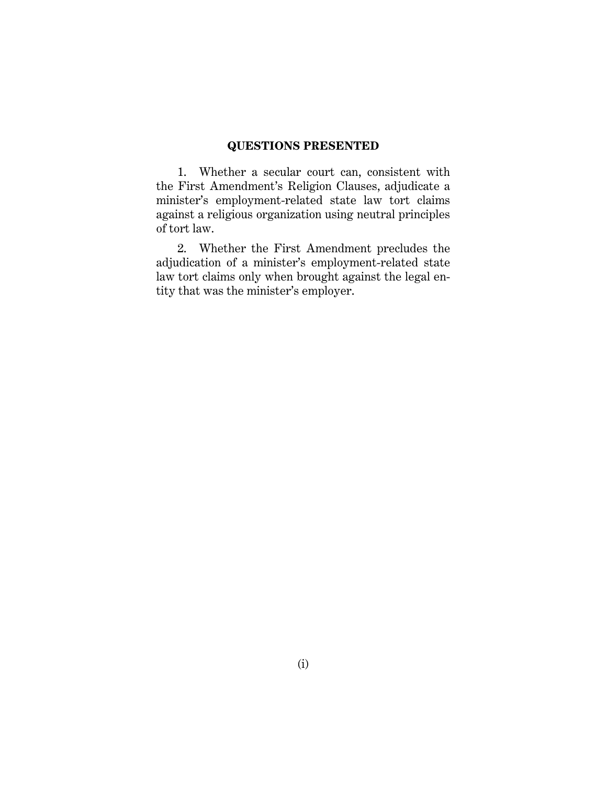#### **QUESTIONS PRESENTED**

1. Whether a secular court can, consistent with the First Amendment's Religion Clauses, adjudicate a minister's employment-related state law tort claims against a religious organization using neutral principles of tort law.

2. Whether the First Amendment precludes the adjudication of a minister's employment-related state law tort claims only when brought against the legal entity that was the minister's employer.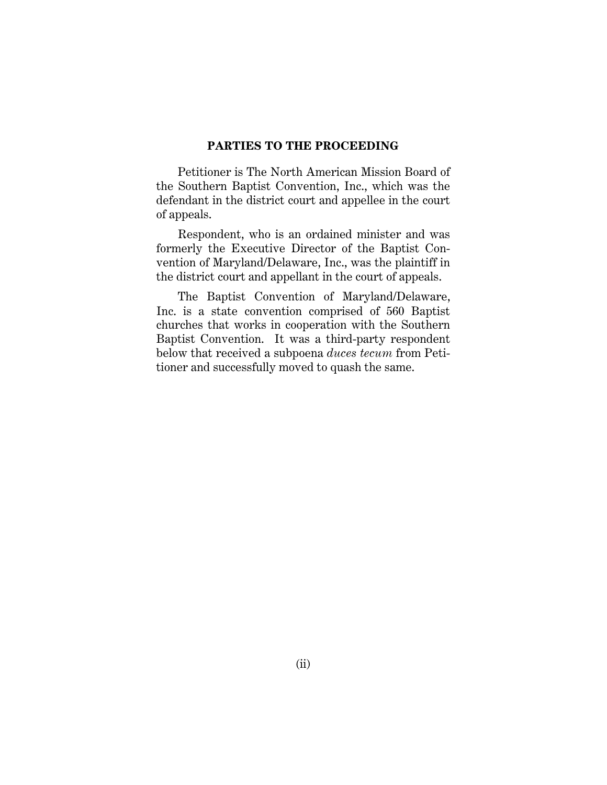#### **PARTIES TO THE PROCEEDING**

Petitioner is The North American Mission Board of the Southern Baptist Convention, Inc., which was the defendant in the district court and appellee in the court of appeals.

Respondent, who is an ordained minister and was formerly the Executive Director of the Baptist Convention of Maryland/Delaware, Inc., was the plaintiff in the district court and appellant in the court of appeals.

The Baptist Convention of Maryland/Delaware, Inc. is a state convention comprised of 560 Baptist churches that works in cooperation with the Southern Baptist Convention. It was a third-party respondent below that received a subpoena *duces tecum* from Petitioner and successfully moved to quash the same.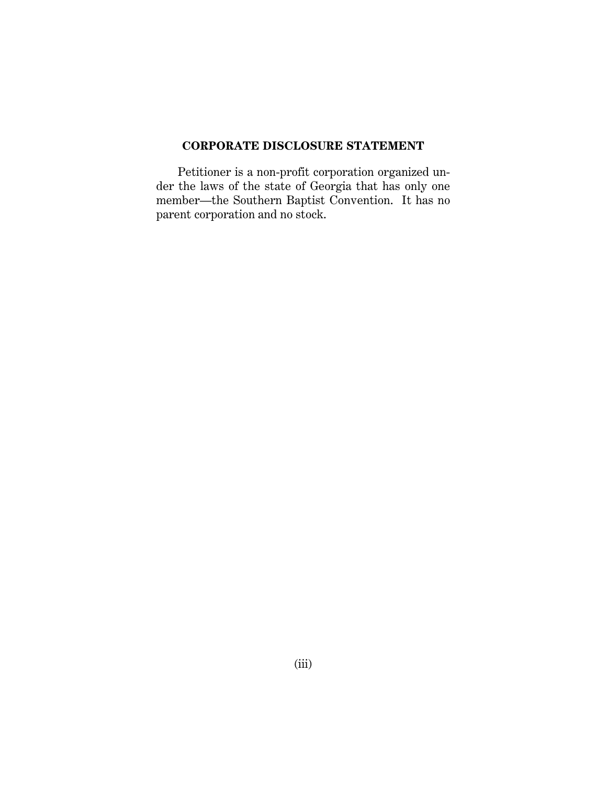## **CORPORATE DISCLOSURE STATEMENT**

Petitioner is a non-profit corporation organized under the laws of the state of Georgia that has only one member—the Southern Baptist Convention. It has no parent corporation and no stock.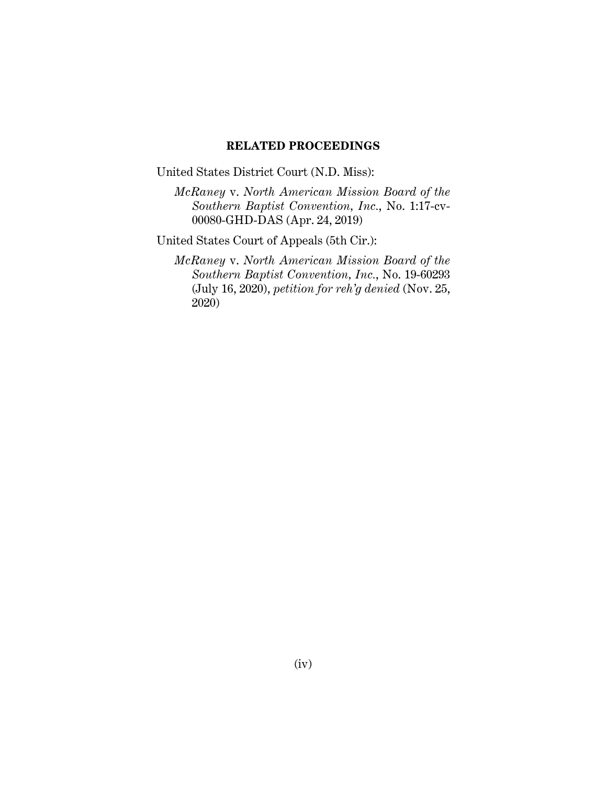#### **RELATED PROCEEDINGS**

United States District Court (N.D. Miss):

*McRaney* v. *North American Mission Board of the Southern Baptist Convention, Inc.*, No. 1:17-cv-00080-GHD-DAS (Apr. 24, 2019)

United States Court of Appeals (5th Cir.):

*McRaney* v. *North American Mission Board of the Southern Baptist Convention, Inc.*, No. 19-60293 (July 16, 2020), *petition for reh'g denied* (Nov. 25, 2020)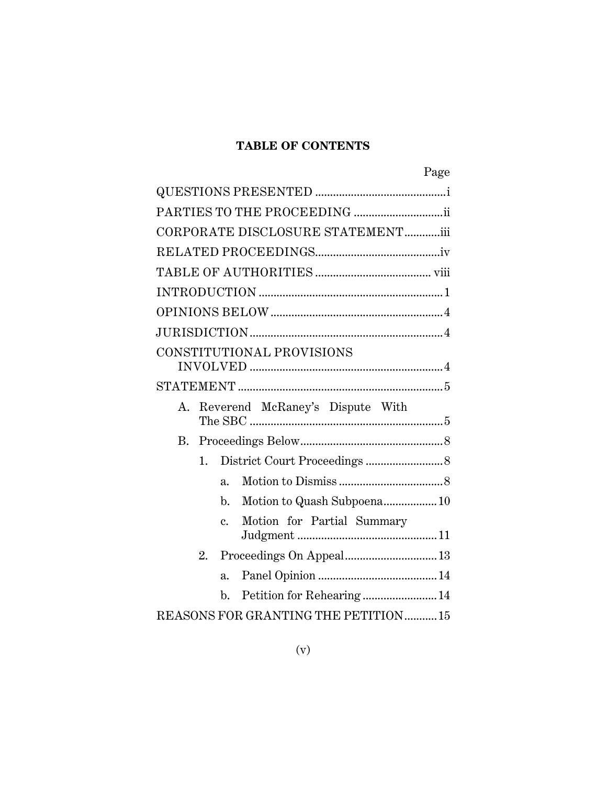# **TABLE OF CONTENTS**

| Page                                                                 |
|----------------------------------------------------------------------|
|                                                                      |
|                                                                      |
| CORPORATE DISCLOSURE STATEMENTiii                                    |
|                                                                      |
|                                                                      |
|                                                                      |
|                                                                      |
|                                                                      |
| CONSTITUTIONAL PROVISIONS                                            |
|                                                                      |
|                                                                      |
| Reverend McRaney's Dispute With<br>A.                                |
| B.                                                                   |
| 1.                                                                   |
| $a_{\cdot}$                                                          |
| Motion to Quash Subpoena10<br>$\mathbf{b}$ .                         |
| Motion for Partial Summary<br>$\mathbf{c}$ .<br>${\it Judgment}\,11$ |
| Proceedings On Appeal 13<br>$2_{-}$                                  |
| $\overline{a}$ .                                                     |
| Petition for Rehearing 14<br>$\mathbf{b}$ .                          |
| REASONS FOR GRANTING THE PETITION 15                                 |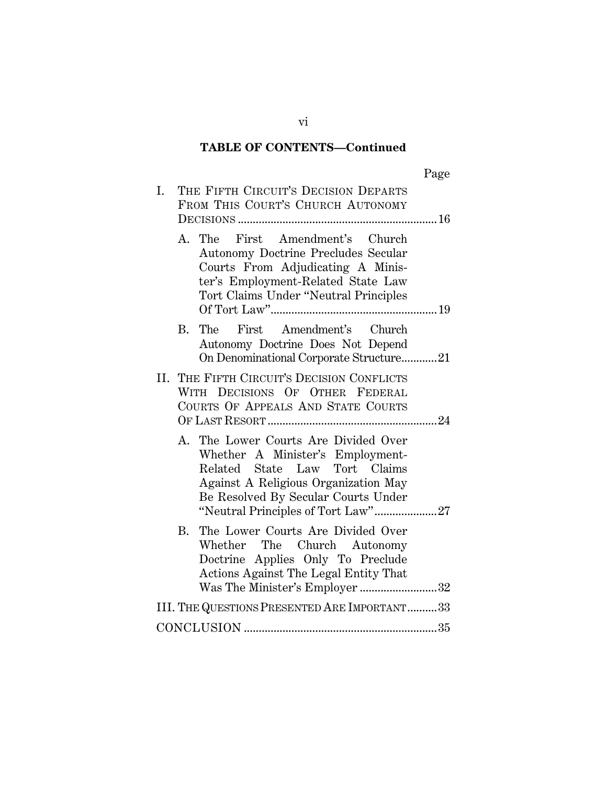# **TABLE OF CONTENTS—Continued**

| THE FIFTH CIRCUIT'S DECISION DEPARTS<br>I.<br>FROM THIS COURT'S CHURCH AUTONOMY                                                                                                            |
|--------------------------------------------------------------------------------------------------------------------------------------------------------------------------------------------|
|                                                                                                                                                                                            |
| A. The First Amendment's Church<br>Autonomy Doctrine Precludes Secular<br>Courts From Adjudicating A Minis-<br>ter's Employment-Related State Law<br>Tort Claims Under "Neutral Principles |
| The First Amendment's Church<br>В.<br>Autonomy Doctrine Does Not Depend<br>On Denominational Corporate Structure21                                                                         |
| II. THE FIFTH CIRCUIT'S DECISION CONFLICTS<br>WITH DECISIONS OF OTHER FEDERAL<br>COURTS OF APPEALS AND STATE COURTS                                                                        |
| A. The Lower Courts Are Divided Over<br>Whether A Minister's Employment-<br>Related State Law Tort Claims<br>Against A Religious Organization May<br>Be Resolved By Secular Courts Under   |
| The Lower Courts Are Divided Over<br>В.<br>Whether The Church Autonomy<br>Doctrine Applies Only To Preclude<br>Actions Against The Legal Entity That<br>Was The Minister's Employer 32     |
| III. THE QUESTIONS PRESENTED ARE IMPORTANT33                                                                                                                                               |
|                                                                                                                                                                                            |

vi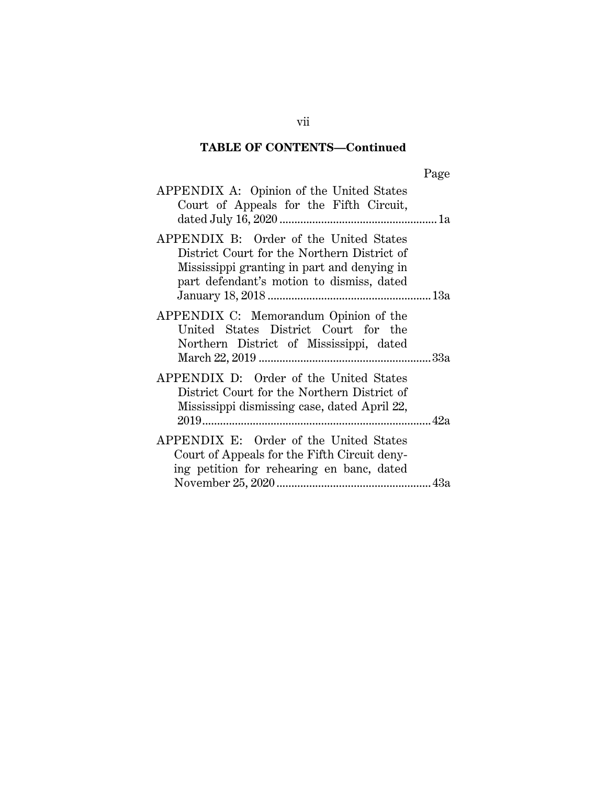# **TABLE OF CONTENTS—Continued**

| APPENDIX A: Opinion of the United States<br>Court of Appeals for the Fifth Circuit,                                                                                               |  |
|-----------------------------------------------------------------------------------------------------------------------------------------------------------------------------------|--|
| APPENDIX B: Order of the United States<br>District Court for the Northern District of<br>Mississippi granting in part and denying in<br>part defendant's motion to dismiss, dated |  |
| APPENDIX C: Memorandum Opinion of the<br>United States District Court for the<br>Northern District of Mississippi, dated                                                          |  |
| APPENDIX D: Order of the United States<br>District Court for the Northern District of<br>Mississippi dismissing case, dated April 22,                                             |  |
| APPENDIX E: Order of the United States<br>Court of Appeals for the Fifth Circuit deny-<br>ing petition for rehearing en banc, dated                                               |  |

vii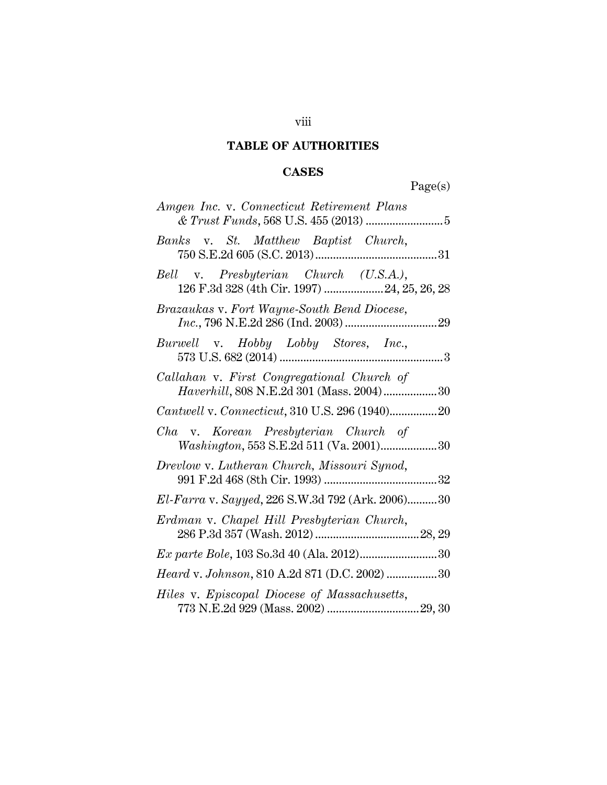# **TABLE OF AUTHORITIES**

# **CASES**

Page(s)

| Amgen Inc. v. Connecticut Retirement Plans                                             |
|----------------------------------------------------------------------------------------|
| Banks v. St. Matthew Baptist Church,                                                   |
| Bell v. Presbyterian Church (U.S.A.),<br>126 F.3d 328 (4th Cir. 1997) 24, 25, 26, 28   |
| Brazaukas v. Fort Wayne-South Bend Diocese,                                            |
| Burwell v. Hobby Lobby Stores, Inc.,                                                   |
| Callahan v. First Congregational Church of<br>Haverhill, 808 N.E.2d 301 (Mass. 2004)30 |
| Cantwell v. Connecticut, 310 U.S. 296 (1940)20                                         |
| Cha v. Korean Presbyterian Church of<br>Washington, 553 S.E.2d 511 (Va. 2001)30        |
| Drevlow v. Lutheran Church, Missouri Synod,                                            |
| El-Farra v. Sayyed, 226 S.W.3d 792 (Ark. 2006)30                                       |
| Erdman v. Chapel Hill Presbyterian Church,                                             |
|                                                                                        |
| Heard v. Johnson, 810 A.2d 871 (D.C. 2002) 30                                          |
| Hiles v. Episcopal Diocese of Massachusetts,                                           |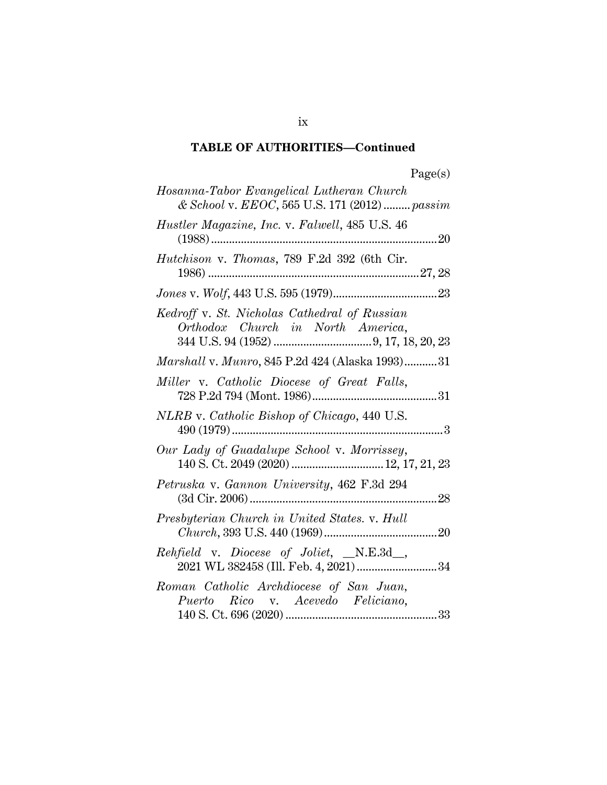# **TABLE OF AUTHORITIES—Continued**

| Hosanna-Tabor Evangelical Lutheran Church<br>& School v. EEOC, 565 U.S. 171 (2012)  passim |
|--------------------------------------------------------------------------------------------|
| Hustler Magazine, Inc. v. Falwell, 485 U.S. 46                                             |
| Hutchison v. Thomas, 789 F.2d 392 (6th Cir.                                                |
|                                                                                            |
| Kedroff v. St. Nicholas Cathedral of Russian<br>Orthodox Church in North America,          |
| Marshall v. Munro, 845 P.2d 424 (Alaska 1993) 31                                           |
| Miller v. Catholic Diocese of Great Falls,                                                 |
| NLRB v. Catholic Bishop of Chicago, 440 U.S.                                               |
| Our Lady of Guadalupe School v. Morrissey,                                                 |
| Petruska v. Gannon University, 462 F.3d 294                                                |
| Presbyterian Church in United States. v. Hull                                              |
| Rehfield v. Diocese of Joliet, _N.E.3d_,<br>2021 WL 382458 (Ill. Feb. 4, 2021)34           |
| Roman Catholic Archdiocese of San Juan,<br>Puerto Rico v. Acevedo Feliciano,               |

ix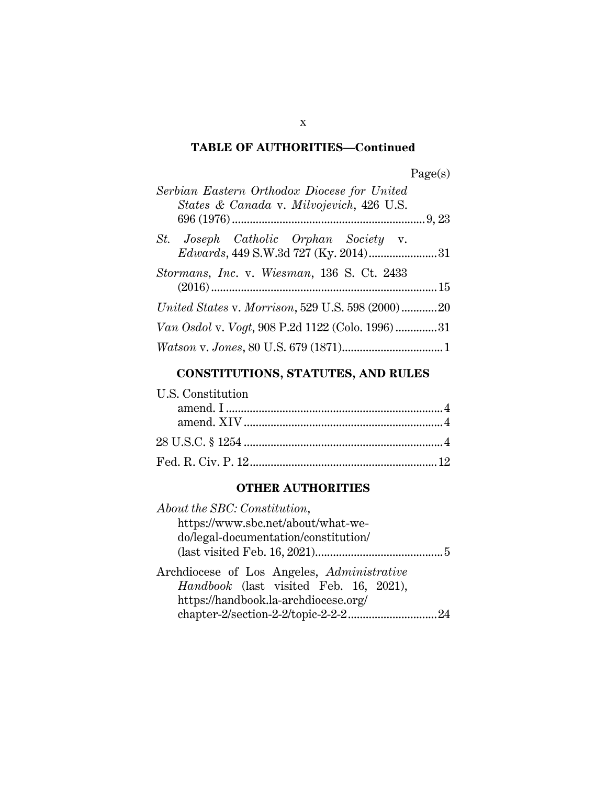# **TABLE OF AUTHORITIES—Continued**

| Serbian Eastern Orthodox Diocese for United<br>States & Canada v. Milvojevich, 426 U.S. |  |
|-----------------------------------------------------------------------------------------|--|
|                                                                                         |  |
| St. Joseph Catholic Orphan Society v.                                                   |  |
| Stormans, Inc. v. Wiesman, 136 S. Ct. 2433                                              |  |
| United States v. Morrison, 529 U.S. 598 (2000)20                                        |  |
| Van Osdol v. Vogt, 908 P.2d 1122 (Colo. 1996)31                                         |  |
|                                                                                         |  |

# **CONSTITUTIONS, STATUTES, AND RULES**

| U.S. Constitution |  |
|-------------------|--|
|                   |  |
|                   |  |
|                   |  |
|                   |  |

# **OTHER AUTHORITIES**

| About the SBC: Constitution,                                                         |
|--------------------------------------------------------------------------------------|
| https://www.sbc.net/about/what-we-                                                   |
| do/legal-documentation/constitution/                                                 |
|                                                                                      |
| Archdiocese of Los Angeles, Administrative<br>Handbook (last visited Feb. 16, 2021), |
| https://handbook.la-archdiocese.org/                                                 |

x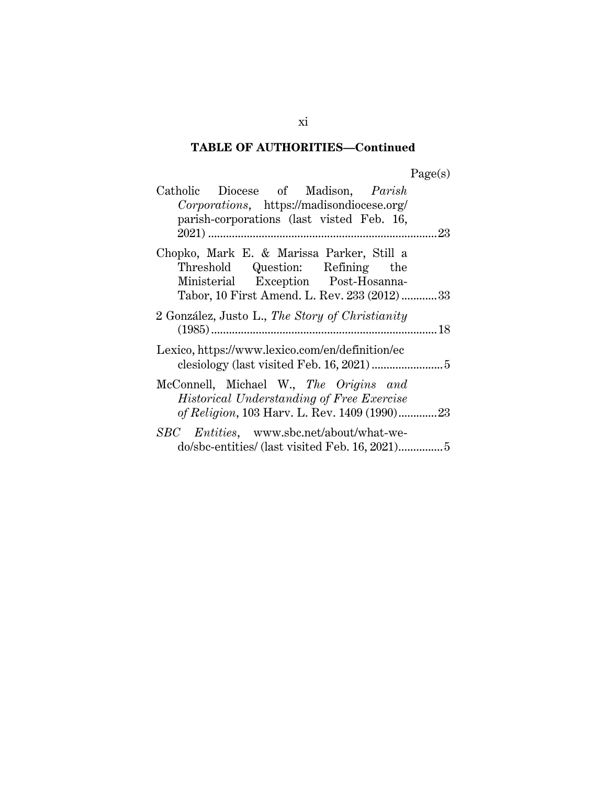# **TABLE OF AUTHORITIES—Continued**

| age(s |
|-------|
|-------|

| Catholic Diocese of Madison, Parish             |
|-------------------------------------------------|
| Corporations, https://madisondiocese.org/       |
| parish-corporations (last visted Feb. 16,       |
|                                                 |
| Chopko, Mark E. & Marissa Parker, Still a       |
| Threshold Question: Refining the                |
| Ministerial Exception Post-Hosanna-             |
| Tabor, 10 First Amend. L. Rev. 233 (2012)  33   |
| 2 González, Justo L., The Story of Christianity |
|                                                 |
| Lexico, https://www.lexico.com/en/definition/ec |
|                                                 |
| McConnell, Michael W., The Origins and          |
| Historical Understanding of Free Exercise       |
| of Religion, 103 Harv. L. Rev. 1409 (1990)23    |
| SBC Entities, www.sbc.net/about/what-we-        |
|                                                 |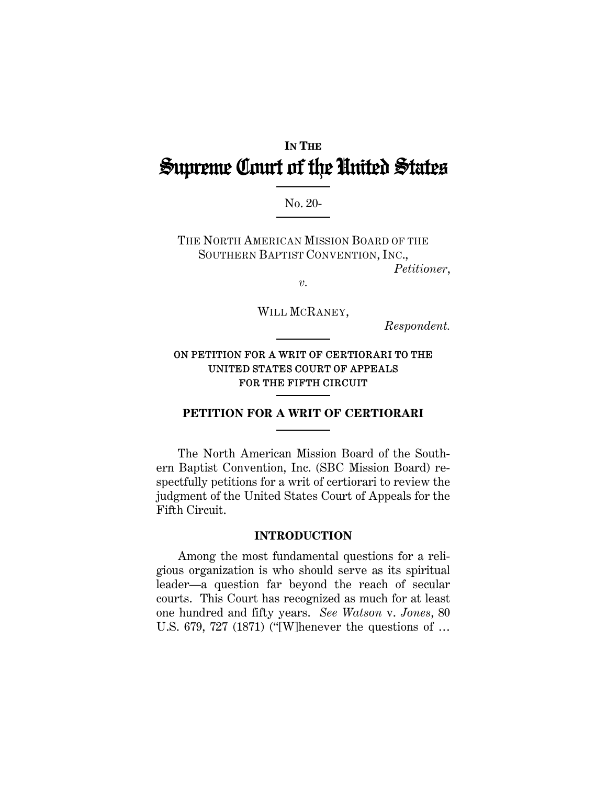# **IN THE** Supreme Court of the United States

No. 20-

THE NORTH AMERICAN MISSION BOARD OF THE SOUTHERN BAPTIST CONVENTION, INC.,

*Petitioner*,

*v.* 

WILL MCRANEY,

*Respondent.* 

### ON PETITION FOR A WRIT OF CERTIORARI TO THE UNITED STATES COURT OF APPEALS FOR THE FIFTH CIRCUIT

#### **PETITION FOR A WRIT OF CERTIORARI**

The North American Mission Board of the Southern Baptist Convention, Inc. (SBC Mission Board) respectfully petitions for a writ of certiorari to review the judgment of the United States Court of Appeals for the Fifth Circuit.

#### **INTRODUCTION**

Among the most fundamental questions for a religious organization is who should serve as its spiritual leader—a question far beyond the reach of secular courts. This Court has recognized as much for at least one hundred and fifty years. *See Watson* v. *Jones*, 80 U.S. 679, 727 (1871) ("[W]henever the questions of …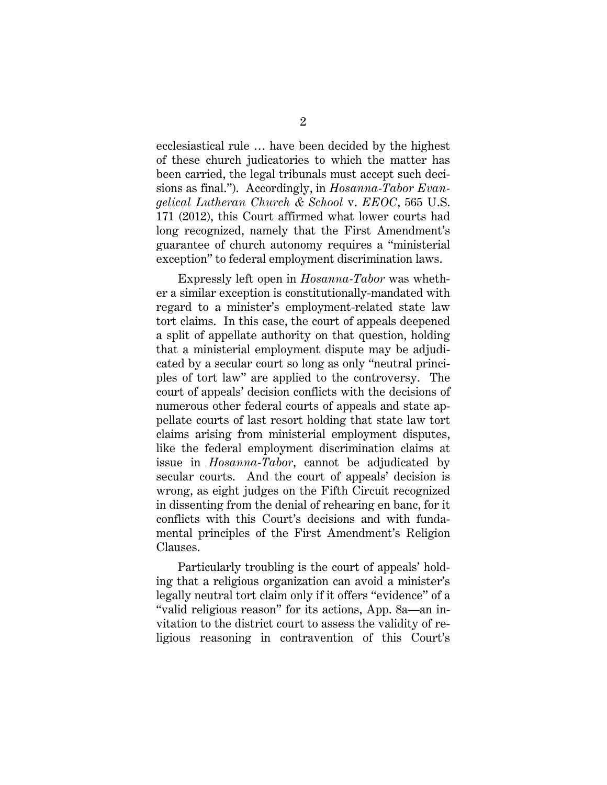ecclesiastical rule … have been decided by the highest of these church judicatories to which the matter has been carried, the legal tribunals must accept such decisions as final."). Accordingly, in *Hosanna-Tabor Evangelical Lutheran Church & School* v. *EEOC*, 565 U.S. 171 (2012), this Court affirmed what lower courts had long recognized, namely that the First Amendment's guarantee of church autonomy requires a "ministerial exception" to federal employment discrimination laws.

Expressly left open in *Hosanna-Tabor* was whether a similar exception is constitutionally-mandated with regard to a minister's employment-related state law tort claims. In this case, the court of appeals deepened a split of appellate authority on that question, holding that a ministerial employment dispute may be adjudicated by a secular court so long as only "neutral principles of tort law" are applied to the controversy. The court of appeals' decision conflicts with the decisions of numerous other federal courts of appeals and state appellate courts of last resort holding that state law tort claims arising from ministerial employment disputes, like the federal employment discrimination claims at issue in *Hosanna-Tabor*, cannot be adjudicated by secular courts. And the court of appeals' decision is wrong, as eight judges on the Fifth Circuit recognized in dissenting from the denial of rehearing en banc, for it conflicts with this Court's decisions and with fundamental principles of the First Amendment's Religion Clauses.

Particularly troubling is the court of appeals' holding that a religious organization can avoid a minister's legally neutral tort claim only if it offers "evidence" of a "valid religious reason" for its actions, App. 8a—an invitation to the district court to assess the validity of religious reasoning in contravention of this Court's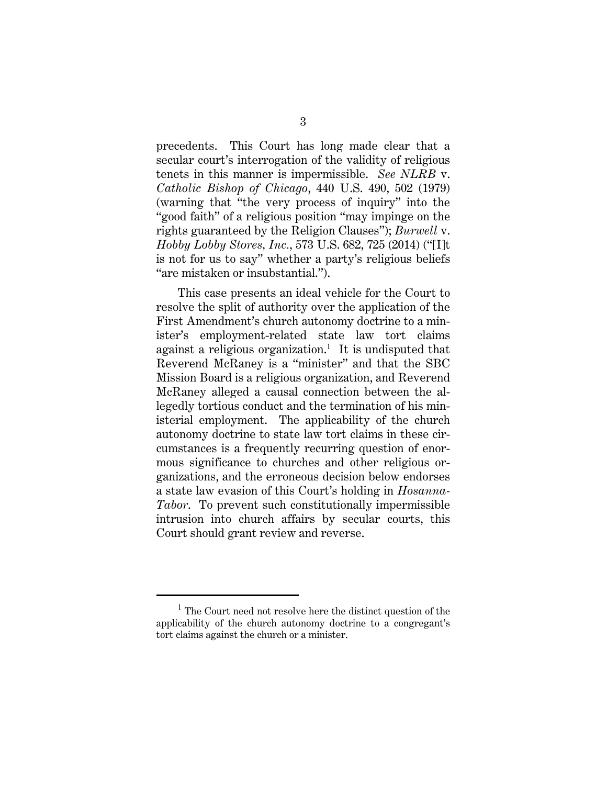precedents. This Court has long made clear that a secular court's interrogation of the validity of religious tenets in this manner is impermissible. *See NLRB* v. *Catholic Bishop of Chicago*, 440 U.S. 490, 502 (1979) (warning that "the very process of inquiry" into the "good faith" of a religious position "may impinge on the rights guaranteed by the Religion Clauses"); *Burwell* v. *Hobby Lobby Stores, Inc.*, 573 U.S. 682, 725 (2014) ("[I]t is not for us to say" whether a party's religious beliefs "are mistaken or insubstantial.").

This case presents an ideal vehicle for the Court to resolve the split of authority over the application of the First Amendment's church autonomy doctrine to a minister's employment-related state law tort claims against a religious organization.<sup>1</sup> It is undisputed that Reverend McRaney is a "minister" and that the SBC Mission Board is a religious organization, and Reverend McRaney alleged a causal connection between the allegedly tortious conduct and the termination of his ministerial employment. The applicability of the church autonomy doctrine to state law tort claims in these circumstances is a frequently recurring question of enormous significance to churches and other religious organizations, and the erroneous decision below endorses a state law evasion of this Court's holding in *Hosanna-Tabor*. To prevent such constitutionally impermissible intrusion into church affairs by secular courts, this Court should grant review and reverse.

<sup>&</sup>lt;sup>1</sup> The Court need not resolve here the distinct question of the applicability of the church autonomy doctrine to a congregant's tort claims against the church or a minister.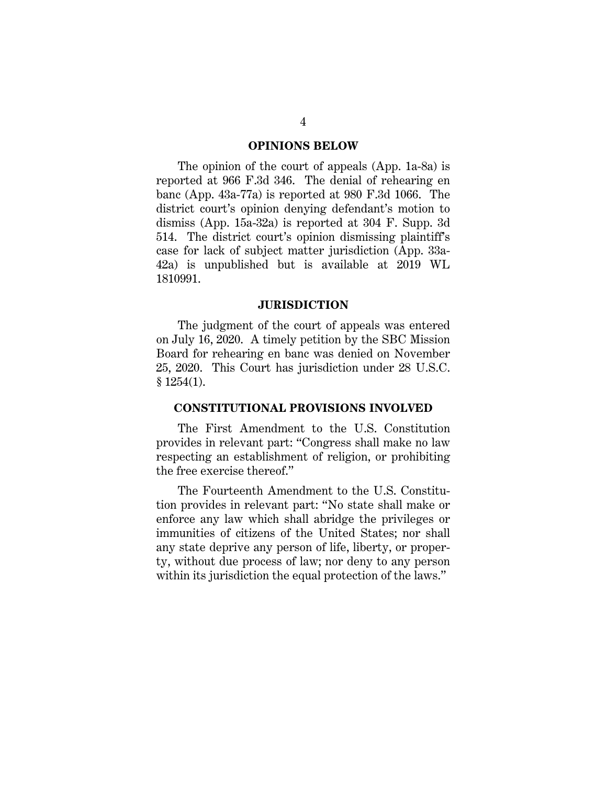#### **OPINIONS BELOW**

The opinion of the court of appeals (App. 1a-8a) is reported at 966 F.3d 346. The denial of rehearing en banc (App. 43a-77a) is reported at 980 F.3d 1066. The district court's opinion denying defendant's motion to dismiss (App. 15a-32a) is reported at 304 F. Supp. 3d 514. The district court's opinion dismissing plaintiff's case for lack of subject matter jurisdiction (App. 33a-42a) is unpublished but is available at 2019 WL 1810991.

#### **JURISDICTION**

The judgment of the court of appeals was entered on July 16, 2020. A timely petition by the SBC Mission Board for rehearing en banc was denied on November 25, 2020. This Court has jurisdiction under 28 U.S.C. § 1254(1).

#### **CONSTITUTIONAL PROVISIONS INVOLVED**

The First Amendment to the U.S. Constitution provides in relevant part: "Congress shall make no law respecting an establishment of religion, or prohibiting the free exercise thereof."

The Fourteenth Amendment to the U.S. Constitution provides in relevant part: "No state shall make or enforce any law which shall abridge the privileges or immunities of citizens of the United States; nor shall any state deprive any person of life, liberty, or property, without due process of law; nor deny to any person within its jurisdiction the equal protection of the laws."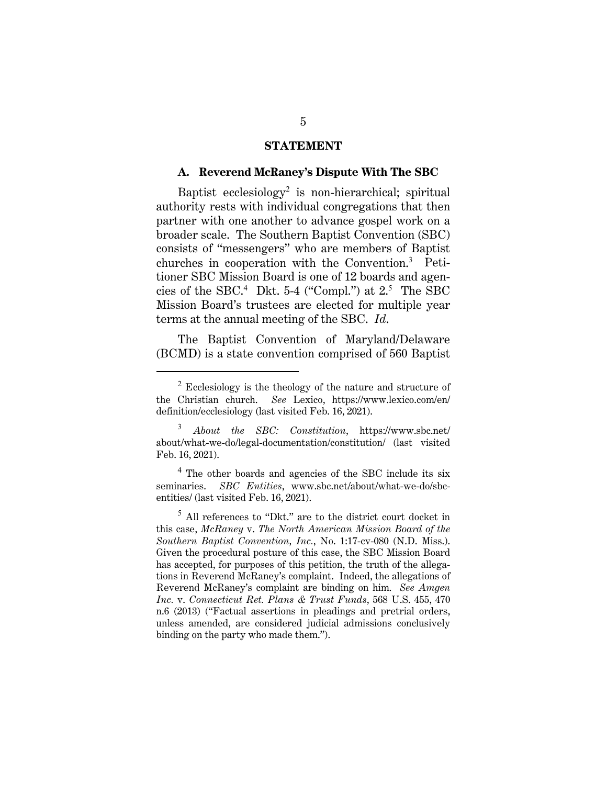#### **STATEMENT**

#### **A. Reverend McRaney's Dispute With The SBC**

Baptist ecclesiology<sup>2</sup> is non-hierarchical; spiritual authority rests with individual congregations that then partner with one another to advance gospel work on a broader scale. The Southern Baptist Convention (SBC) consists of "messengers" who are members of Baptist churches in cooperation with the Convention.<sup>3</sup> Petitioner SBC Mission Board is one of 12 boards and agencies of the SBC.<sup>4</sup> Dkt. 5-4 ("Compl.") at  $2.5$  The SBC Mission Board's trustees are elected for multiple year terms at the annual meeting of the SBC. *Id*.

The Baptist Convention of Maryland/Delaware (BCMD) is a state convention comprised of 560 Baptist

 $2$  Ecclesiology is the theology of the nature and structure of the Christian church. *See* Lexico, https://www.lexico.com/en/ definition/ecclesiology (last visited Feb. 16, 2021).

<sup>3</sup> *About the SBC: Constitution*, https://www.sbc.net/ about/what-we-do/legal-documentation/constitution/ (last visited Feb. 16, 2021).

<sup>&</sup>lt;sup>4</sup> The other boards and agencies of the SBC include its six seminaries. *SBC Entities*, www.sbc.net/about/what-we-do/sbcentities/ (last visited Feb. 16, 2021).

 $^5$  All references to "Dkt." are to the district court docket in this case, *McRaney* v. *The North American Mission Board of the Southern Baptist Convention, Inc.*, No. 1:17-cv-080 (N.D. Miss.). Given the procedural posture of this case, the SBC Mission Board has accepted, for purposes of this petition, the truth of the allegations in Reverend McRaney's complaint. Indeed, the allegations of Reverend McRaney's complaint are binding on him. *See Amgen Inc.* v. *Connecticut Ret. Plans & Trust Funds*, 568 U.S. 455, 470 n.6 (2013) ("Factual assertions in pleadings and pretrial orders, unless amended, are considered judicial admissions conclusively binding on the party who made them.").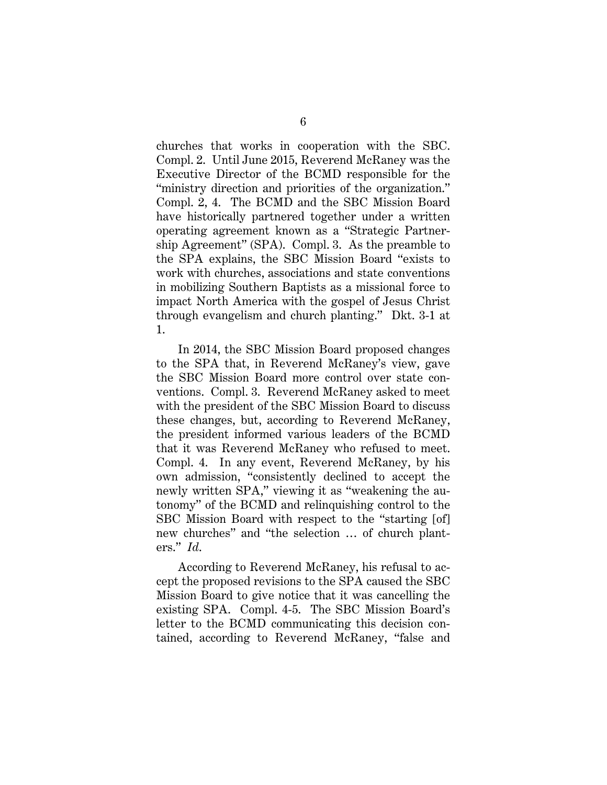churches that works in cooperation with the SBC. Compl. 2. Until June 2015, Reverend McRaney was the Executive Director of the BCMD responsible for the "ministry direction and priorities of the organization." Compl. 2, 4. The BCMD and the SBC Mission Board have historically partnered together under a written operating agreement known as a "Strategic Partnership Agreement" (SPA). Compl. 3. As the preamble to the SPA explains, the SBC Mission Board "exists to work with churches, associations and state conventions in mobilizing Southern Baptists as a missional force to impact North America with the gospel of Jesus Christ through evangelism and church planting." Dkt. 3-1 at 1.

In 2014, the SBC Mission Board proposed changes to the SPA that, in Reverend McRaney's view, gave the SBC Mission Board more control over state conventions. Compl. 3. Reverend McRaney asked to meet with the president of the SBC Mission Board to discuss these changes, but, according to Reverend McRaney, the president informed various leaders of the BCMD that it was Reverend McRaney who refused to meet. Compl. 4. In any event, Reverend McRaney, by his own admission, "consistently declined to accept the newly written SPA," viewing it as "weakening the autonomy" of the BCMD and relinquishing control to the SBC Mission Board with respect to the "starting [of] new churches" and "the selection … of church planters." *Id*.

According to Reverend McRaney, his refusal to accept the proposed revisions to the SPA caused the SBC Mission Board to give notice that it was cancelling the existing SPA. Compl. 4-5. The SBC Mission Board's letter to the BCMD communicating this decision contained, according to Reverend McRaney, "false and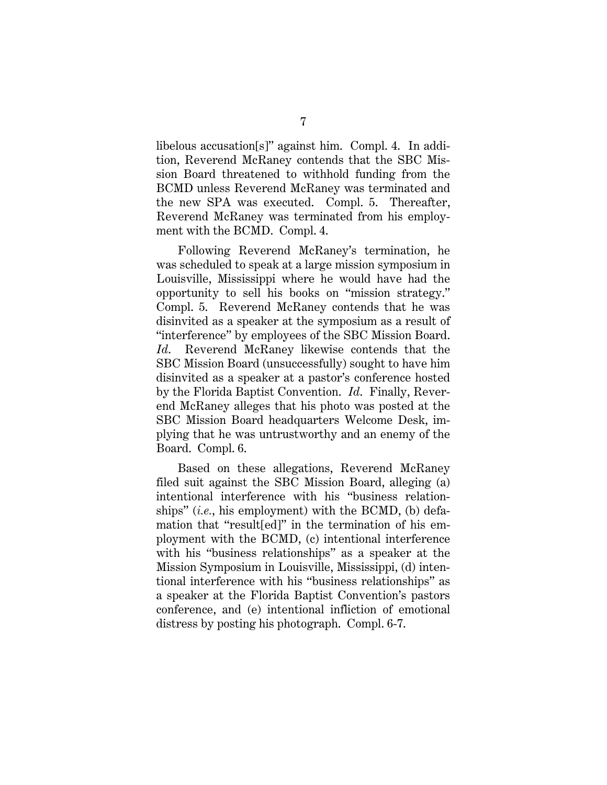libelous accusation[s]" against him. Compl. 4. In addition, Reverend McRaney contends that the SBC Mission Board threatened to withhold funding from the BCMD unless Reverend McRaney was terminated and the new SPA was executed. Compl. 5. Thereafter, Reverend McRaney was terminated from his employment with the BCMD. Compl. 4.

Following Reverend McRaney's termination, he was scheduled to speak at a large mission symposium in Louisville, Mississippi where he would have had the opportunity to sell his books on "mission strategy." Compl. 5. Reverend McRaney contends that he was disinvited as a speaker at the symposium as a result of "interference" by employees of the SBC Mission Board. *Id*. Reverend McRaney likewise contends that the SBC Mission Board (unsuccessfully) sought to have him disinvited as a speaker at a pastor's conference hosted by the Florida Baptist Convention. *Id*. Finally, Reverend McRaney alleges that his photo was posted at the SBC Mission Board headquarters Welcome Desk, implying that he was untrustworthy and an enemy of the Board. Compl. 6.

Based on these allegations, Reverend McRaney filed suit against the SBC Mission Board, alleging (a) intentional interference with his "business relationships" (*i.e.*, his employment) with the BCMD, (b) defamation that "result[ed]" in the termination of his employment with the BCMD, (c) intentional interference with his "business relationships" as a speaker at the Mission Symposium in Louisville, Mississippi, (d) intentional interference with his "business relationships" as a speaker at the Florida Baptist Convention's pastors conference, and (e) intentional infliction of emotional distress by posting his photograph. Compl. 6-7.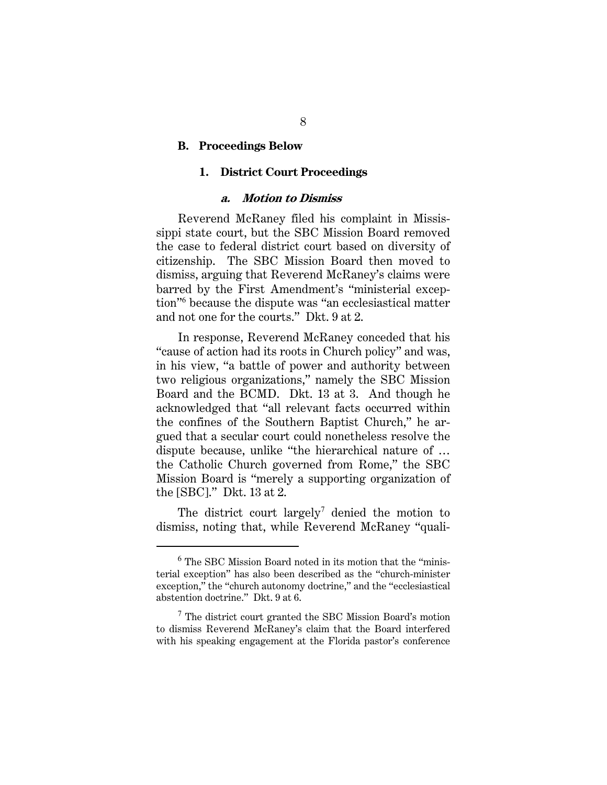#### **B. Proceedings Below**

#### **1. District Court Proceedings**

#### **a. Motion to Dismiss**

Reverend McRaney filed his complaint in Mississippi state court, but the SBC Mission Board removed the case to federal district court based on diversity of citizenship. The SBC Mission Board then moved to dismiss, arguing that Reverend McRaney's claims were barred by the First Amendment's "ministerial exception"<sup>6</sup> because the dispute was "an ecclesiastical matter and not one for the courts." Dkt. 9 at 2.

In response, Reverend McRaney conceded that his "cause of action had its roots in Church policy" and was, in his view, "a battle of power and authority between two religious organizations," namely the SBC Mission Board and the BCMD. Dkt. 13 at 3. And though he acknowledged that "all relevant facts occurred within the confines of the Southern Baptist Church," he argued that a secular court could nonetheless resolve the dispute because, unlike "the hierarchical nature of … the Catholic Church governed from Rome," the SBC Mission Board is "merely a supporting organization of the [SBC]." Dkt. 13 at 2.

The district court largely<sup>7</sup> denied the motion to dismiss, noting that, while Reverend McRaney "quali-

 $6$  The SBC Mission Board noted in its motion that the "ministerial exception" has also been described as the "church-minister exception," the "church autonomy doctrine," and the "ecclesiastical abstention doctrine." Dkt. 9 at 6.

 $7$  The district court granted the SBC Mission Board's motion to dismiss Reverend McRaney's claim that the Board interfered with his speaking engagement at the Florida pastor's conference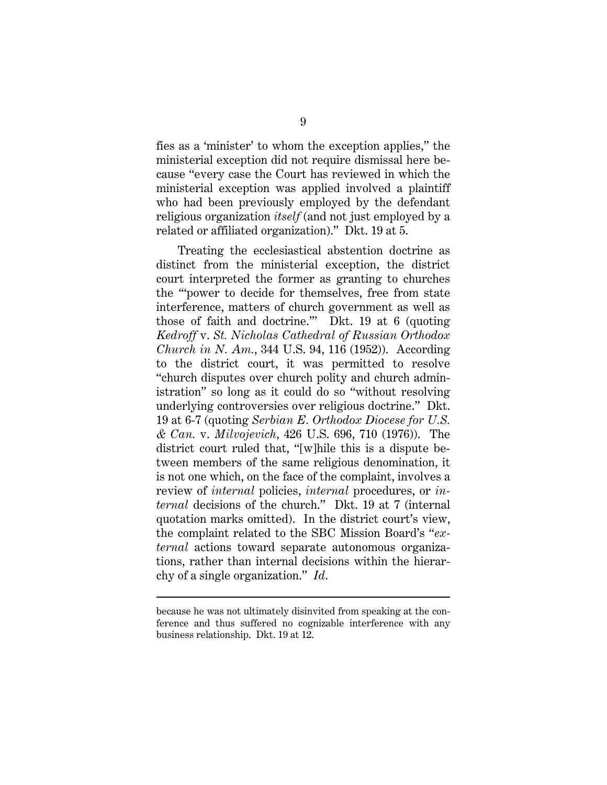fies as a 'minister' to whom the exception applies," the ministerial exception did not require dismissal here because "every case the Court has reviewed in which the ministerial exception was applied involved a plaintiff who had been previously employed by the defendant religious organization *itself* (and not just employed by a related or affiliated organization)." Dkt. 19 at 5.

Treating the ecclesiastical abstention doctrine as distinct from the ministerial exception, the district court interpreted the former as granting to churches the '"power to decide for themselves, free from state interference, matters of church government as well as those of faith and doctrine.'" Dkt. 19 at 6 (quoting *Kedroff* v. *St. Nicholas Cathedral of Russian Orthodox Church in N. Am.*, 344 U.S. 94, 116 (1952)). According to the district court, it was permitted to resolve "church disputes over church polity and church administration" so long as it could do so "without resolving underlying controversies over religious doctrine." Dkt. 19 at 6-7 (quoting *Serbian E. Orthodox Diocese for U.S. & Can.* v. *Milvojevich*, 426 U.S. 696, 710 (1976)). The district court ruled that, "[w]hile this is a dispute between members of the same religious denomination, it is not one which, on the face of the complaint, involves a review of *internal* policies, *internal* procedures, or *internal* decisions of the church." Dkt. 19 at 7 (internal quotation marks omitted). In the district court's view, the complaint related to the SBC Mission Board's "*external* actions toward separate autonomous organizations, rather than internal decisions within the hierarchy of a single organization." *Id*.

because he was not ultimately disinvited from speaking at the conference and thus suffered no cognizable interference with any business relationship. Dkt. 19 at 12.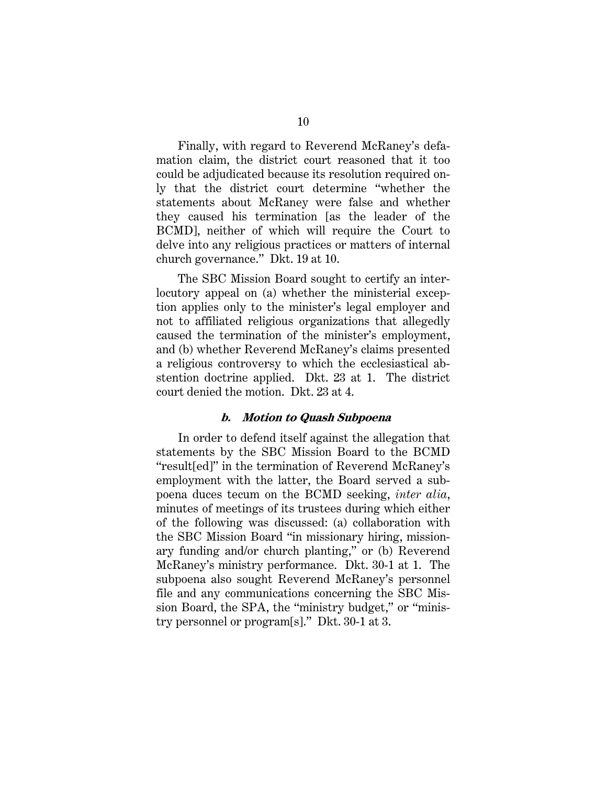Finally, with regard to Reverend McRaney's defamation claim, the district court reasoned that it too could be adjudicated because its resolution required only that the district court determine "whether the statements about McRaney were false and whether they caused his termination [as the leader of the BCMD], neither of which will require the Court to delve into any religious practices or matters of internal church governance." Dkt. 19 at 10.

The SBC Mission Board sought to certify an interlocutory appeal on (a) whether the ministerial exception applies only to the minister's legal employer and not to affiliated religious organizations that allegedly caused the termination of the minister's employment, and (b) whether Reverend McRaney's claims presented a religious controversy to which the ecclesiastical abstention doctrine applied. Dkt. 23 at 1. The district court denied the motion. Dkt. 23 at 4.

#### **b. Motion to Quash Subpoena**

In order to defend itself against the allegation that statements by the SBC Mission Board to the BCMD "result[ed]" in the termination of Reverend McRaney's employment with the latter, the Board served a subpoena duces tecum on the BCMD seeking, *inter alia*, minutes of meetings of its trustees during which either of the following was discussed: (a) collaboration with the SBC Mission Board "in missionary hiring, missionary funding and/or church planting," or (b) Reverend McRaney's ministry performance. Dkt. 30-1 at 1. The subpoena also sought Reverend McRaney's personnel file and any communications concerning the SBC Mission Board, the SPA, the "ministry budget," or "ministry personnel or program[s]." Dkt. 30-1 at 3.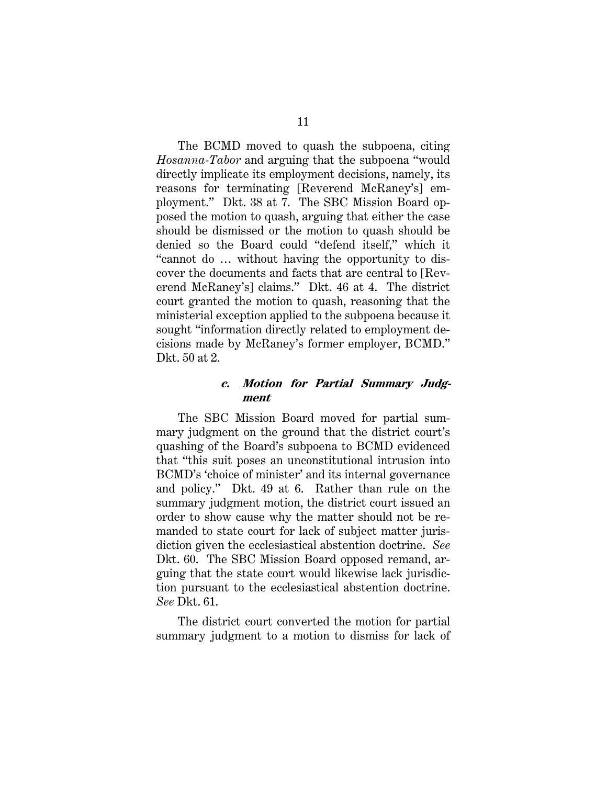The BCMD moved to quash the subpoena, citing *Hosanna-Tabor* and arguing that the subpoena "would directly implicate its employment decisions, namely, its reasons for terminating [Reverend McRaney's] employment." Dkt. 38 at 7. The SBC Mission Board opposed the motion to quash, arguing that either the case should be dismissed or the motion to quash should be denied so the Board could "defend itself," which it "cannot do … without having the opportunity to discover the documents and facts that are central to [Reverend McRaney's] claims." Dkt. 46 at 4. The district court granted the motion to quash, reasoning that the ministerial exception applied to the subpoena because it sought "information directly related to employment decisions made by McRaney's former employer, BCMD." Dkt. 50 at 2.

### **c. Motion for Partial Summary Judgment**

The SBC Mission Board moved for partial summary judgment on the ground that the district court's quashing of the Board's subpoena to BCMD evidenced that "this suit poses an unconstitutional intrusion into BCMD's 'choice of minister' and its internal governance and policy." Dkt. 49 at 6. Rather than rule on the summary judgment motion, the district court issued an order to show cause why the matter should not be remanded to state court for lack of subject matter jurisdiction given the ecclesiastical abstention doctrine. *See* Dkt. 60. The SBC Mission Board opposed remand, arguing that the state court would likewise lack jurisdiction pursuant to the ecclesiastical abstention doctrine. *See* Dkt. 61.

The district court converted the motion for partial summary judgment to a motion to dismiss for lack of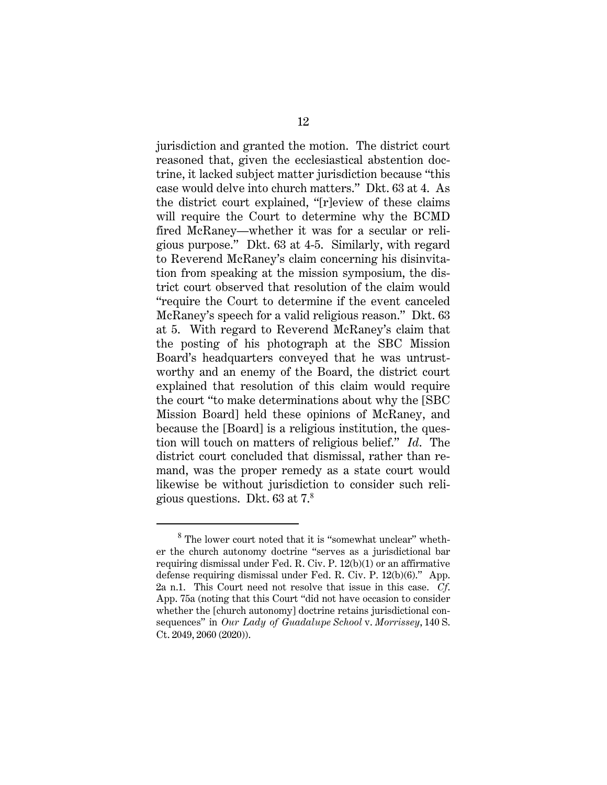jurisdiction and granted the motion. The district court reasoned that, given the ecclesiastical abstention doctrine, it lacked subject matter jurisdiction because "this case would delve into church matters." Dkt. 63 at 4. As the district court explained, "[r]eview of these claims will require the Court to determine why the BCMD fired McRaney—whether it was for a secular or religious purpose." Dkt. 63 at 4-5. Similarly, with regard to Reverend McRaney's claim concerning his disinvitation from speaking at the mission symposium, the district court observed that resolution of the claim would "require the Court to determine if the event canceled McRaney's speech for a valid religious reason." Dkt. 63 at 5. With regard to Reverend McRaney's claim that the posting of his photograph at the SBC Mission Board's headquarters conveyed that he was untrustworthy and an enemy of the Board, the district court explained that resolution of this claim would require the court "to make determinations about why the [SBC Mission Board] held these opinions of McRaney, and because the [Board] is a religious institution, the question will touch on matters of religious belief." *Id*. The district court concluded that dismissal, rather than remand, was the proper remedy as a state court would likewise be without jurisdiction to consider such religious questions. Dkt. 63 at 7.<sup>8</sup>

<sup>&</sup>lt;sup>8</sup> The lower court noted that it is "somewhat unclear" whether the church autonomy doctrine "serves as a jurisdictional bar requiring dismissal under Fed. R. Civ. P. 12(b)(1) or an affirmative defense requiring dismissal under Fed. R. Civ. P. 12(b)(6)." App. 2a n.1. This Court need not resolve that issue in this case. *Cf*. App. 75a (noting that this Court "did not have occasion to consider whether the [church autonomy] doctrine retains jurisdictional consequences" in *Our Lady of Guadalupe School* v. *Morrissey*, 140 S. Ct. 2049, 2060 (2020)).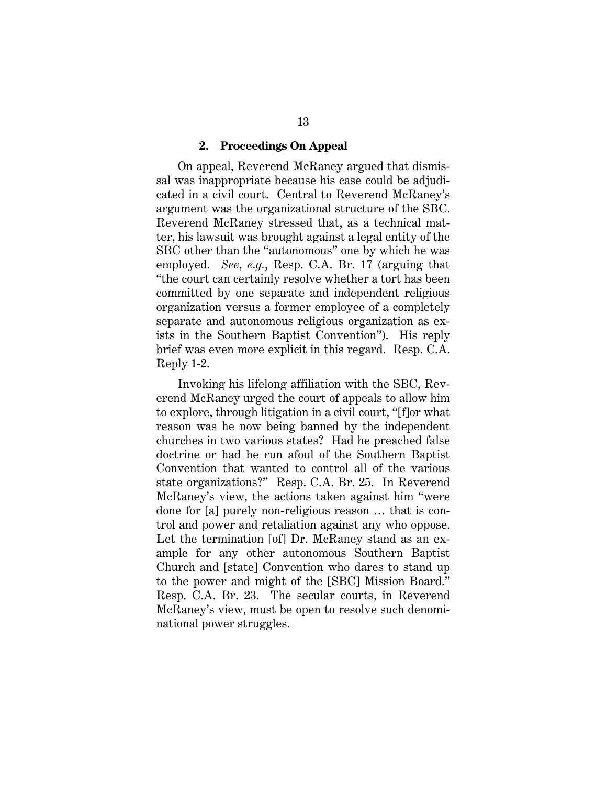#### **2. Proceedings On Appeal**

On appeal, Reverend McRaney argued that dismissal was inappropriate because his case could be adjudicated in a civil court. Central to Reverend McRaney's argument was the organizational structure of the SBC. Reverend McRaney stressed that, as a technical matter, his lawsuit was brought against a legal entity of the SBC other than the "autonomous" one by which he was employed. *See*, *e.g.*, Resp. C.A. Br. 17 (arguing that "the court can certainly resolve whether a tort has been committed by one separate and independent religious organization versus a former employee of a completely separate and autonomous religious organization as exists in the Southern Baptist Convention"). His reply brief was even more explicit in this regard. Resp. C.A. Reply 1-2.

Invoking his lifelong affiliation with the SBC, Reverend McRaney urged the court of appeals to allow him to explore, through litigation in a civil court, "[f]or what reason was he now being banned by the independent churches in two various states? Had he preached false doctrine or had he run afoul of the Southern Baptist Convention that wanted to control all of the various state organizations?" Resp. C.A. Br. 25. In Reverend McRaney's view, the actions taken against him "were done for [a] purely non-religious reason … that is control and power and retaliation against any who oppose. Let the termination [of] Dr. McRaney stand as an example for any other autonomous Southern Baptist Church and [state] Convention who dares to stand up to the power and might of the [SBC] Mission Board." Resp. C.A. Br. 23. The secular courts, in Reverend McRaney's view, must be open to resolve such denominational power struggles.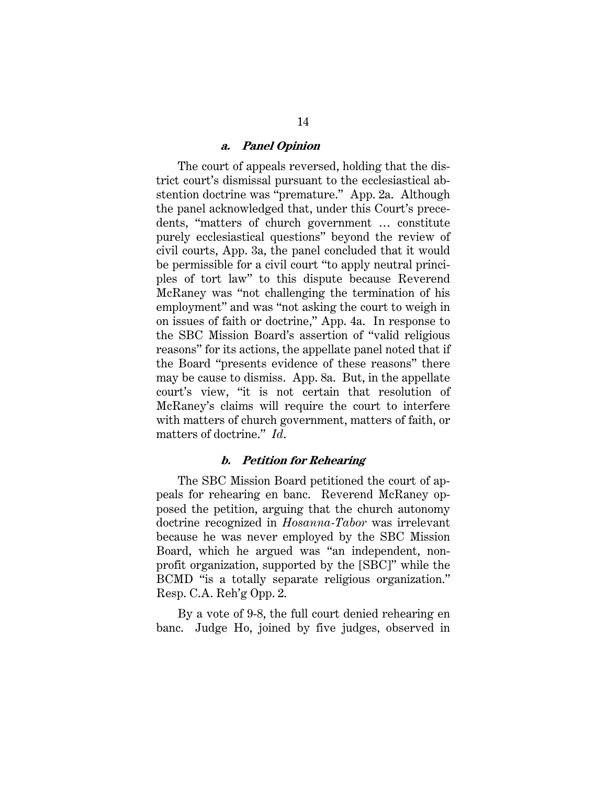#### **a. Panel Opinion**

The court of appeals reversed, holding that the district court's dismissal pursuant to the ecclesiastical abstention doctrine was "premature." App. 2a. Although the panel acknowledged that, under this Court's precedents, "matters of church government … constitute purely ecclesiastical questions" beyond the review of civil courts, App. 3a, the panel concluded that it would be permissible for a civil court "to apply neutral principles of tort law" to this dispute because Reverend McRaney was "not challenging the termination of his employment" and was "not asking the court to weigh in on issues of faith or doctrine," App. 4a. In response to the SBC Mission Board's assertion of "valid religious reasons" for its actions, the appellate panel noted that if the Board "presents evidence of these reasons" there may be cause to dismiss. App. 8a. But, in the appellate court's view, "it is not certain that resolution of McRaney's claims will require the court to interfere with matters of church government, matters of faith, or matters of doctrine." *Id*.

#### **b. Petition for Rehearing**

The SBC Mission Board petitioned the court of appeals for rehearing en banc. Reverend McRaney opposed the petition, arguing that the church autonomy doctrine recognized in *Hosanna-Tabor* was irrelevant because he was never employed by the SBC Mission Board, which he argued was "an independent, nonprofit organization, supported by the [SBC]" while the BCMD "is a totally separate religious organization." Resp. C.A. Reh'g Opp. 2.

By a vote of 9-8, the full court denied rehearing en banc. Judge Ho, joined by five judges, observed in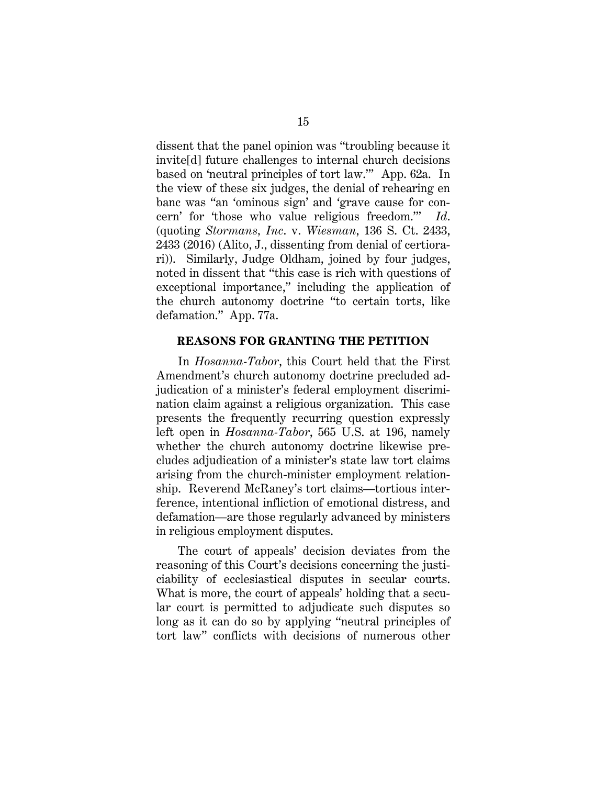dissent that the panel opinion was "troubling because it invite[d] future challenges to internal church decisions based on 'neutral principles of tort law.'" App. 62a. In the view of these six judges, the denial of rehearing en banc was "an 'ominous sign' and 'grave cause for concern' for 'those who value religious freedom.'" *Id*. (quoting *Stormans, Inc*. v. *Wiesman*, 136 S. Ct. 2433, 2433 (2016) (Alito, J., dissenting from denial of certiorari)). Similarly, Judge Oldham, joined by four judges, noted in dissent that "this case is rich with questions of exceptional importance," including the application of the church autonomy doctrine "to certain torts, like defamation." App. 77a.

#### **REASONS FOR GRANTING THE PETITION**

In *Hosanna-Tabor*, this Court held that the First Amendment's church autonomy doctrine precluded adjudication of a minister's federal employment discrimination claim against a religious organization. This case presents the frequently recurring question expressly left open in *Hosanna-Tabor*, 565 U.S. at 196, namely whether the church autonomy doctrine likewise precludes adjudication of a minister's state law tort claims arising from the church-minister employment relationship. Reverend McRaney's tort claims—tortious interference, intentional infliction of emotional distress, and defamation—are those regularly advanced by ministers in religious employment disputes.

The court of appeals' decision deviates from the reasoning of this Court's decisions concerning the justiciability of ecclesiastical disputes in secular courts. What is more, the court of appeals' holding that a secular court is permitted to adjudicate such disputes so long as it can do so by applying "neutral principles of tort law" conflicts with decisions of numerous other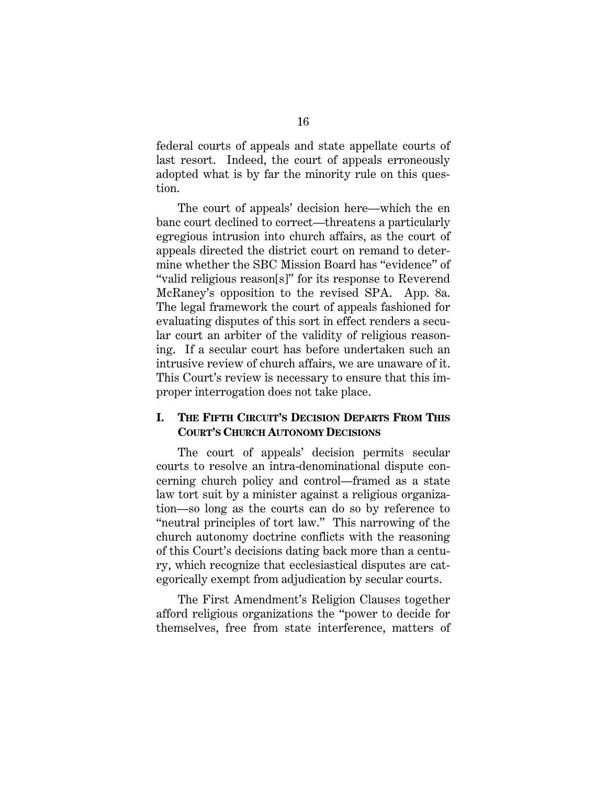federal courts of appeals and state appellate courts of last resort. Indeed, the court of appeals erroneously adopted what is by far the minority rule on this question.

The court of appeals' decision here—which the en banc court declined to correct—threatens a particularly egregious intrusion into church affairs, as the court of appeals directed the district court on remand to determine whether the SBC Mission Board has "evidence" of "valid religious reason[s]" for its response to Reverend McRaney's opposition to the revised SPA. App. 8a. The legal framework the court of appeals fashioned for evaluating disputes of this sort in effect renders a secular court an arbiter of the validity of religious reasoning. If a secular court has before undertaken such an intrusive review of church affairs, we are unaware of it. This Court's review is necessary to ensure that this improper interrogation does not take place.

### **I. THE FIFTH CIRCUIT'S DECISION DEPARTS FROM THIS COURT'S CHURCH AUTONOMY DECISIONS**

The court of appeals' decision permits secular courts to resolve an intra-denominational dispute concerning church policy and control—framed as a state law tort suit by a minister against a religious organization—so long as the courts can do so by reference to "neutral principles of tort law." This narrowing of the church autonomy doctrine conflicts with the reasoning of this Court's decisions dating back more than a century, which recognize that ecclesiastical disputes are categorically exempt from adjudication by secular courts.

The First Amendment's Religion Clauses together afford religious organizations the "power to decide for themselves, free from state interference, matters of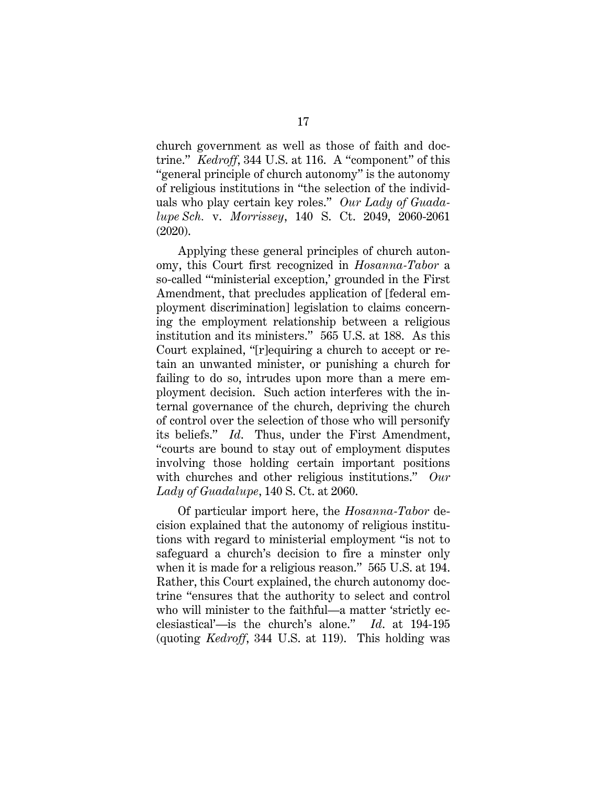church government as well as those of faith and doctrine." *Kedroff*, 344 U.S. at 116. A "component" of this "general principle of church autonomy" is the autonomy of religious institutions in "the selection of the individuals who play certain key roles." *Our Lady of Guadalupe Sch.* v. *Morrissey*, 140 S. Ct. 2049, 2060-2061 (2020).

Applying these general principles of church autonomy, this Court first recognized in *Hosanna-Tabor* a so-called "'ministerial exception,' grounded in the First Amendment, that precludes application of [federal employment discrimination] legislation to claims concerning the employment relationship between a religious institution and its ministers." 565 U.S. at 188. As this Court explained, "[r]equiring a church to accept or retain an unwanted minister, or punishing a church for failing to do so, intrudes upon more than a mere employment decision. Such action interferes with the internal governance of the church, depriving the church of control over the selection of those who will personify its beliefs." *Id*. Thus, under the First Amendment, "courts are bound to stay out of employment disputes involving those holding certain important positions with churches and other religious institutions." *Our Lady of Guadalupe*, 140 S. Ct. at 2060.

Of particular import here, the *Hosanna-Tabor* decision explained that the autonomy of religious institutions with regard to ministerial employment "is not to safeguard a church's decision to fire a minster only when it is made for a religious reason." 565 U.S. at 194. Rather, this Court explained, the church autonomy doctrine "ensures that the authority to select and control who will minister to the faithful—a matter 'strictly ecclesiastical'—is the church's alone." *Id*. at 194-195 (quoting *Kedroff*, 344 U.S. at 119). This holding was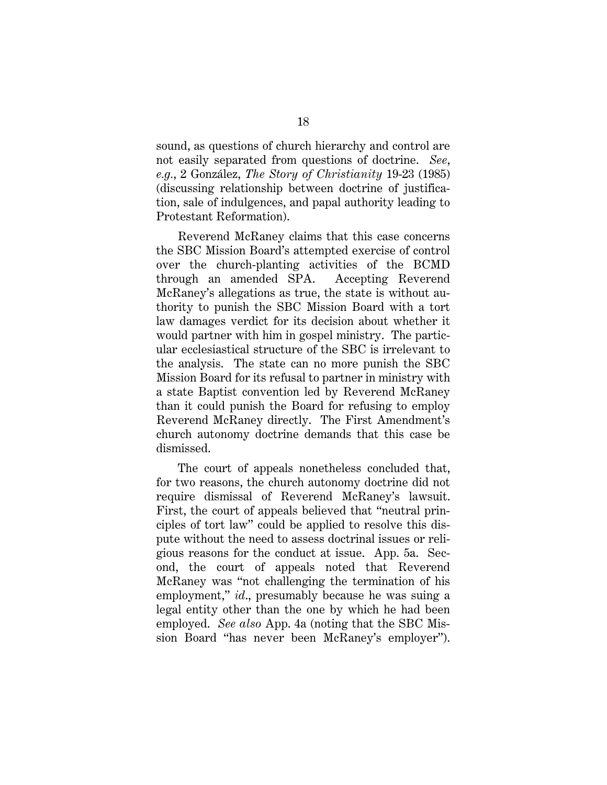sound, as questions of church hierarchy and control are not easily separated from questions of doctrine. *See*, *e.g.*, 2 González, *The Story of Christianity* 19-23 (1985) (discussing relationship between doctrine of justification, sale of indulgences, and papal authority leading to Protestant Reformation).

Reverend McRaney claims that this case concerns the SBC Mission Board's attempted exercise of control over the church-planting activities of the BCMD through an amended SPA. Accepting Reverend McRaney's allegations as true, the state is without authority to punish the SBC Mission Board with a tort law damages verdict for its decision about whether it would partner with him in gospel ministry. The particular ecclesiastical structure of the SBC is irrelevant to the analysis. The state can no more punish the SBC Mission Board for its refusal to partner in ministry with a state Baptist convention led by Reverend McRaney than it could punish the Board for refusing to employ Reverend McRaney directly. The First Amendment's church autonomy doctrine demands that this case be dismissed.

The court of appeals nonetheless concluded that, for two reasons, the church autonomy doctrine did not require dismissal of Reverend McRaney's lawsuit. First, the court of appeals believed that "neutral principles of tort law" could be applied to resolve this dispute without the need to assess doctrinal issues or religious reasons for the conduct at issue. App. 5a. Second, the court of appeals noted that Reverend McRaney was "not challenging the termination of his employment," *id*., presumably because he was suing a legal entity other than the one by which he had been employed. *See also* App. 4a (noting that the SBC Mission Board "has never been McRaney's employer").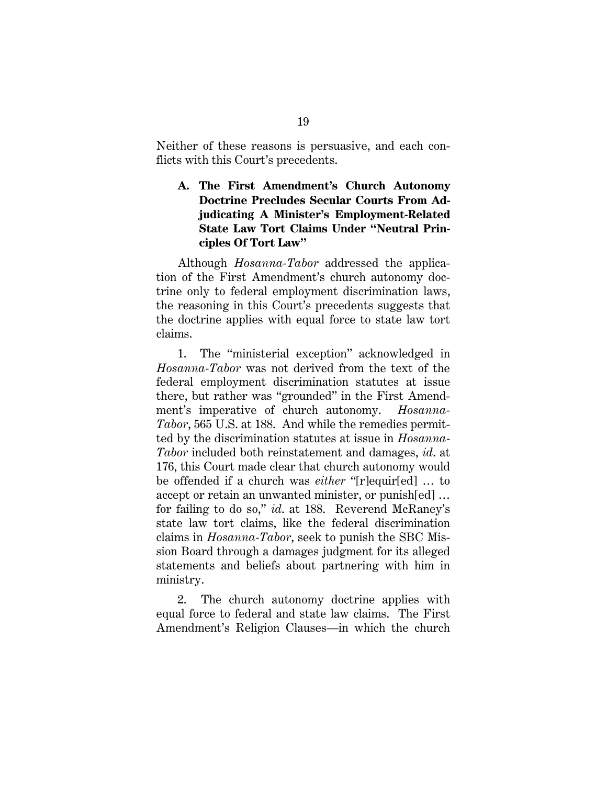Neither of these reasons is persuasive, and each conflicts with this Court's precedents.

## **A. The First Amendment's Church Autonomy Doctrine Precludes Secular Courts From Adjudicating A Minister's Employment-Related State Law Tort Claims Under "Neutral Principles Of Tort Law"**

Although *Hosanna-Tabor* addressed the application of the First Amendment's church autonomy doctrine only to federal employment discrimination laws, the reasoning in this Court's precedents suggests that the doctrine applies with equal force to state law tort claims.

1. The "ministerial exception" acknowledged in *Hosanna-Tabor* was not derived from the text of the federal employment discrimination statutes at issue there, but rather was "grounded" in the First Amendment's imperative of church autonomy. *Hosanna-Tabor*, 565 U.S. at 188. And while the remedies permitted by the discrimination statutes at issue in *Hosanna-Tabor* included both reinstatement and damages, *id*. at 176, this Court made clear that church autonomy would be offended if a church was *either* "[r]equir[ed] … to accept or retain an unwanted minister, or punish[ed] … for failing to do so," *id*. at 188. Reverend McRaney's state law tort claims, like the federal discrimination claims in *Hosanna-Tabor*, seek to punish the SBC Mission Board through a damages judgment for its alleged statements and beliefs about partnering with him in ministry.

2. The church autonomy doctrine applies with equal force to federal and state law claims. The First Amendment's Religion Clauses—in which the church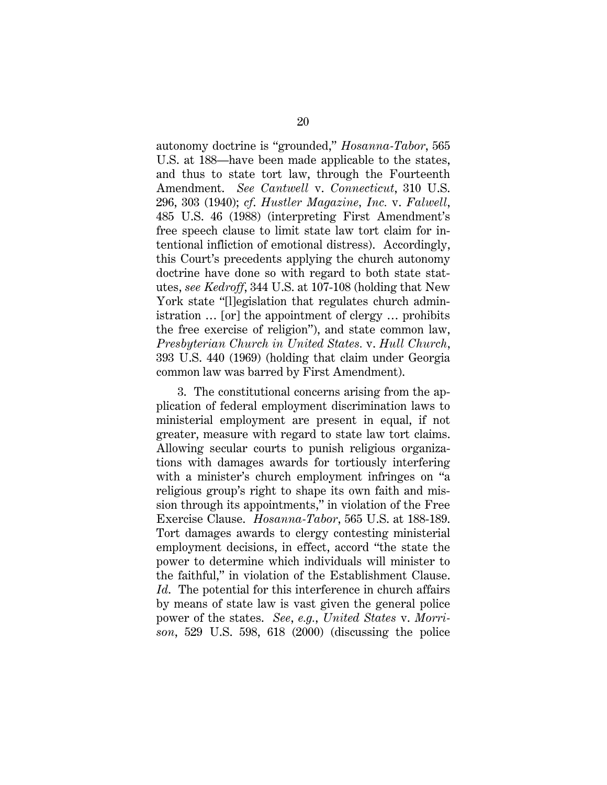autonomy doctrine is "grounded," *Hosanna-Tabor*, 565 U.S. at 188—have been made applicable to the states, and thus to state tort law, through the Fourteenth Amendment. *See Cantwell* v. *Connecticut*, 310 U.S. 296, 303 (1940); *cf*. *Hustler Magazine, Inc.* v. *Falwell*, 485 U.S. 46 (1988) (interpreting First Amendment's free speech clause to limit state law tort claim for intentional infliction of emotional distress). Accordingly, this Court's precedents applying the church autonomy doctrine have done so with regard to both state statutes, *see Kedroff*, 344 U.S. at 107-108 (holding that New York state "[l]egislation that regulates church administration … [or] the appointment of clergy … prohibits the free exercise of religion"), and state common law, *Presbyterian Church in United States.* v. *Hull Church*, 393 U.S. 440 (1969) (holding that claim under Georgia common law was barred by First Amendment).

3. The constitutional concerns arising from the application of federal employment discrimination laws to ministerial employment are present in equal, if not greater, measure with regard to state law tort claims. Allowing secular courts to punish religious organizations with damages awards for tortiously interfering with a minister's church employment infringes on "a religious group's right to shape its own faith and mission through its appointments," in violation of the Free Exercise Clause. *Hosanna-Tabor*, 565 U.S. at 188-189. Tort damages awards to clergy contesting ministerial employment decisions, in effect, accord "the state the power to determine which individuals will minister to the faithful," in violation of the Establishment Clause. *Id*. The potential for this interference in church affairs by means of state law is vast given the general police power of the states. *See*, *e.g.*, *United States* v. *Morrison*, 529 U.S. 598, 618 (2000) (discussing the police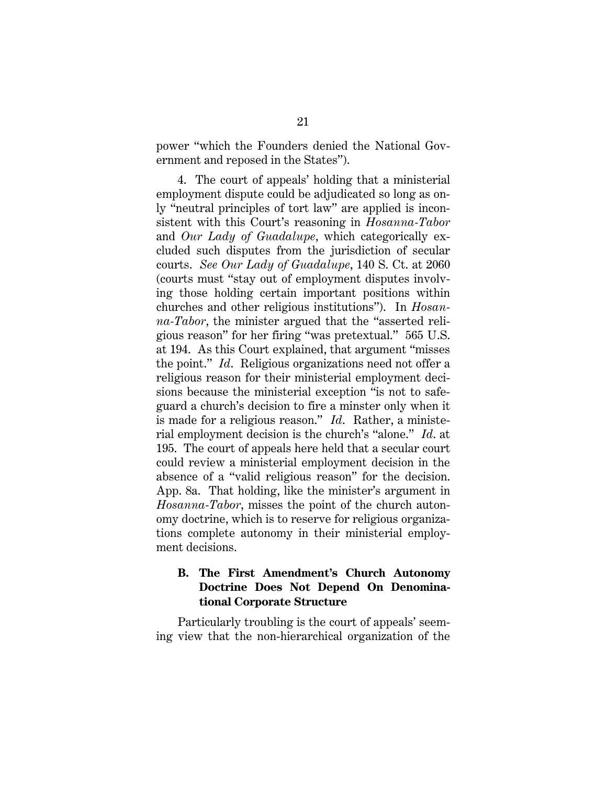power "which the Founders denied the National Government and reposed in the States").

4. The court of appeals' holding that a ministerial employment dispute could be adjudicated so long as only "neutral principles of tort law" are applied is inconsistent with this Court's reasoning in *Hosanna-Tabor* and *Our Lady of Guadalupe*, which categorically excluded such disputes from the jurisdiction of secular courts. *See Our Lady of Guadalupe*, 140 S. Ct. at 2060 (courts must "stay out of employment disputes involving those holding certain important positions within churches and other religious institutions"). In *Hosanna-Tabor*, the minister argued that the "asserted religious reason" for her firing "was pretextual." 565 U.S. at 194. As this Court explained, that argument "misses the point." *Id*. Religious organizations need not offer a religious reason for their ministerial employment decisions because the ministerial exception "is not to safeguard a church's decision to fire a minster only when it is made for a religious reason." *Id*. Rather, a ministerial employment decision is the church's "alone." *Id*. at 195. The court of appeals here held that a secular court could review a ministerial employment decision in the absence of a "valid religious reason" for the decision. App. 8a. That holding, like the minister's argument in *Hosanna-Tabor*, misses the point of the church autonomy doctrine, which is to reserve for religious organizations complete autonomy in their ministerial employment decisions.

### **B. The First Amendment's Church Autonomy Doctrine Does Not Depend On Denominational Corporate Structure**

Particularly troubling is the court of appeals' seeming view that the non-hierarchical organization of the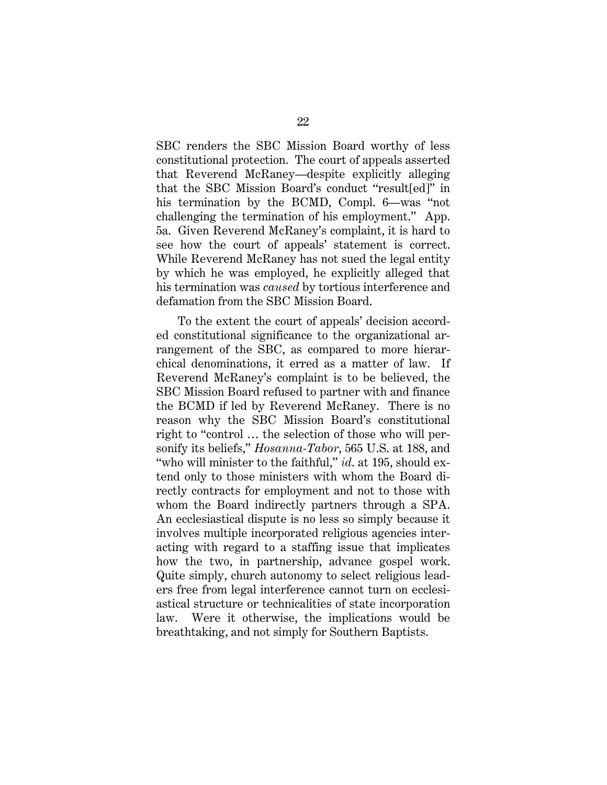SBC renders the SBC Mission Board worthy of less constitutional protection. The court of appeals asserted that Reverend McRaney—despite explicitly alleging that the SBC Mission Board's conduct "result[ed]" in his termination by the BCMD, Compl. 6—was "not challenging the termination of his employment." App. 5a. Given Reverend McRaney's complaint, it is hard to see how the court of appeals' statement is correct. While Reverend McRaney has not sued the legal entity by which he was employed, he explicitly alleged that his termination was *caused* by tortious interference and defamation from the SBC Mission Board.

To the extent the court of appeals' decision accorded constitutional significance to the organizational arrangement of the SBC, as compared to more hierarchical denominations, it erred as a matter of law. If Reverend McRaney's complaint is to be believed, the SBC Mission Board refused to partner with and finance the BCMD if led by Reverend McRaney. There is no reason why the SBC Mission Board's constitutional right to "control … the selection of those who will personify its beliefs," *Hosanna-Tabor*, 565 U.S. at 188, and "who will minister to the faithful," *id*. at 195, should extend only to those ministers with whom the Board directly contracts for employment and not to those with whom the Board indirectly partners through a SPA. An ecclesiastical dispute is no less so simply because it involves multiple incorporated religious agencies interacting with regard to a staffing issue that implicates how the two, in partnership, advance gospel work. Quite simply, church autonomy to select religious leaders free from legal interference cannot turn on ecclesiastical structure or technicalities of state incorporation law. Were it otherwise, the implications would be breathtaking, and not simply for Southern Baptists.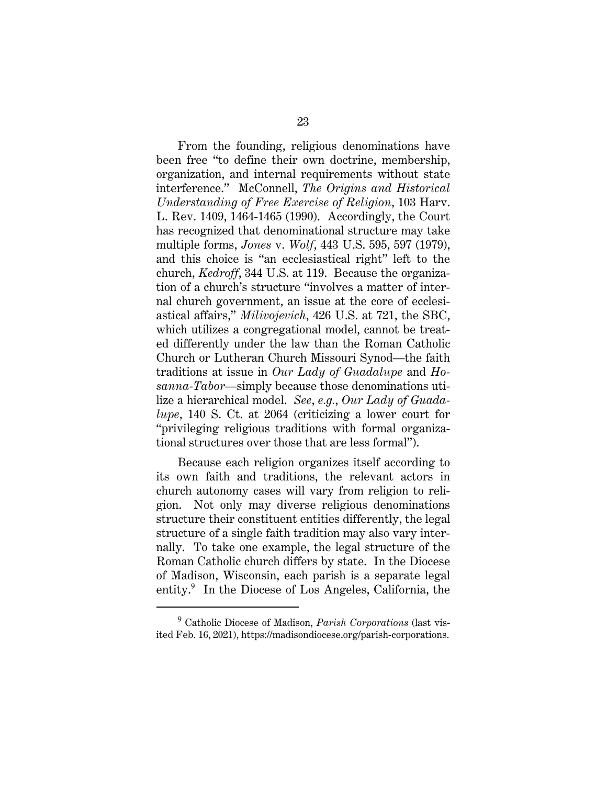From the founding, religious denominations have been free "to define their own doctrine, membership, organization, and internal requirements without state interference." McConnell, *The Origins and Historical Understanding of Free Exercise of Religion*, 103 Harv. L. Rev. 1409, 1464-1465 (1990). Accordingly, the Court has recognized that denominational structure may take multiple forms, *Jones* v. *Wolf*, 443 U.S. 595, 597 (1979), and this choice is "an ecclesiastical right" left to the church, *Kedroff*, 344 U.S. at 119. Because the organization of a church's structure "involves a matter of internal church government, an issue at the core of ecclesiastical affairs," *Milivojevich*, 426 U.S. at 721, the SBC, which utilizes a congregational model, cannot be treated differently under the law than the Roman Catholic Church or Lutheran Church Missouri Synod—the faith traditions at issue in *Our Lady of Guadalupe* and *Hosanna-Tabor*—simply because those denominations utilize a hierarchical model. *See*, *e.g.*, *Our Lady of Guadalupe*, 140 S. Ct. at 2064 (criticizing a lower court for "privileging religious traditions with formal organizational structures over those that are less formal").

Because each religion organizes itself according to its own faith and traditions, the relevant actors in church autonomy cases will vary from religion to religion. Not only may diverse religious denominations structure their constituent entities differently, the legal structure of a single faith tradition may also vary internally. To take one example, the legal structure of the Roman Catholic church differs by state. In the Diocese of Madison, Wisconsin, each parish is a separate legal entity.<sup>9</sup> In the Diocese of Los Angeles, California, the

<sup>9</sup> Catholic Diocese of Madison, *Parish Corporations* (last visited Feb. 16, 2021), https://madisondiocese.org/parish-corporations.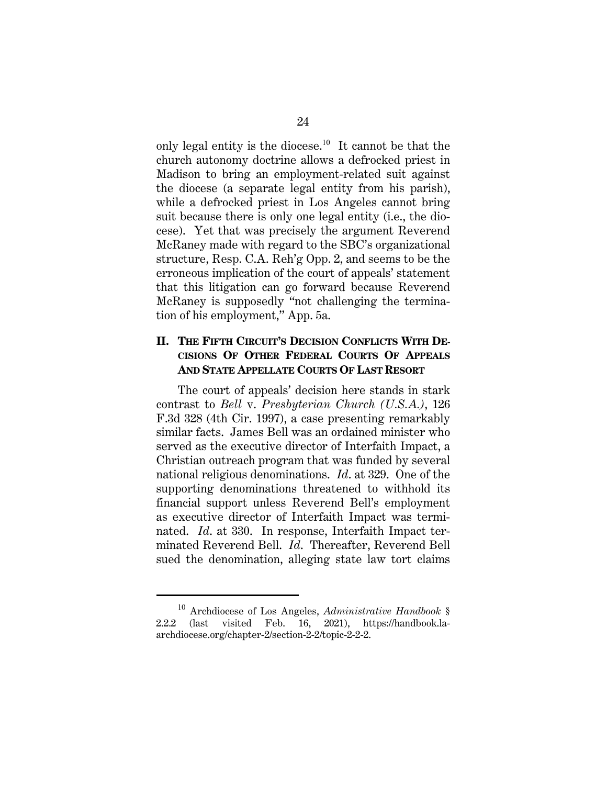only legal entity is the diocese.<sup>10</sup> It cannot be that the church autonomy doctrine allows a defrocked priest in Madison to bring an employment-related suit against the diocese (a separate legal entity from his parish), while a defrocked priest in Los Angeles cannot bring suit because there is only one legal entity (i.e., the diocese). Yet that was precisely the argument Reverend McRaney made with regard to the SBC's organizational structure, Resp. C.A. Reh'g Opp. 2, and seems to be the erroneous implication of the court of appeals' statement that this litigation can go forward because Reverend McRaney is supposedly "not challenging the termination of his employment," App. 5a.

### **II. THE FIFTH CIRCUIT'S DECISION CONFLICTS WITH DE-CISIONS OF OTHER FEDERAL COURTS OF APPEALS AND STATE APPELLATE COURTS OF LAST RESORT**

The court of appeals' decision here stands in stark contrast to *Bell* v. *Presbyterian Church (U.S.A.)*, 126 F.3d 328 (4th Cir. 1997), a case presenting remarkably similar facts. James Bell was an ordained minister who served as the executive director of Interfaith Impact, a Christian outreach program that was funded by several national religious denominations. *Id*. at 329. One of the supporting denominations threatened to withhold its financial support unless Reverend Bell's employment as executive director of Interfaith Impact was terminated. *Id*. at 330. In response, Interfaith Impact terminated Reverend Bell. *Id*. Thereafter, Reverend Bell sued the denomination, alleging state law tort claims

<sup>10</sup> Archdiocese of Los Angeles, *Administrative Handbook* § 2.2.2 (last visited Feb. 16, 2021), https://handbook.laarchdiocese.org/chapter-2/section-2-2/topic-2-2-2.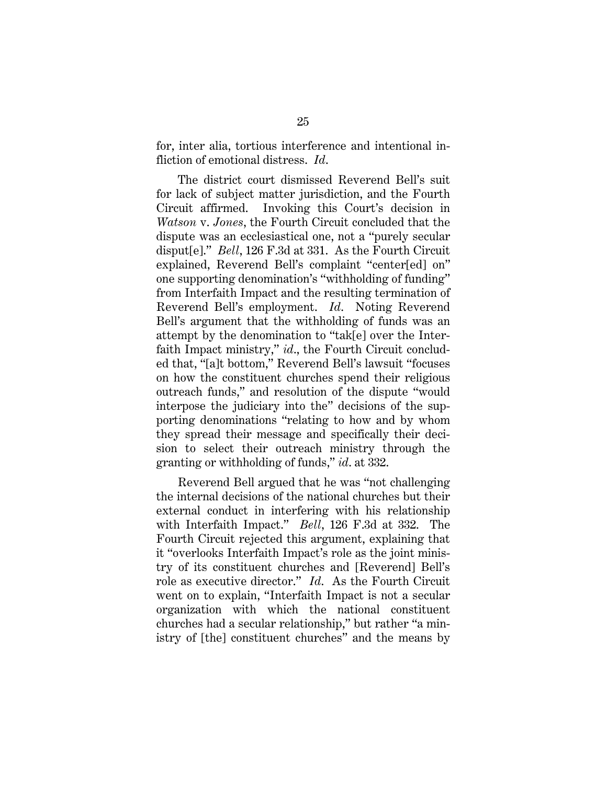for, inter alia, tortious interference and intentional infliction of emotional distress. *Id*.

The district court dismissed Reverend Bell's suit for lack of subject matter jurisdiction, and the Fourth Circuit affirmed. Invoking this Court's decision in *Watson* v. *Jones*, the Fourth Circuit concluded that the dispute was an ecclesiastical one, not a "purely secular disput[e]." *Bell*, 126 F.3d at 331. As the Fourth Circuit explained, Reverend Bell's complaint "center[ed] on" one supporting denomination's "withholding of funding" from Interfaith Impact and the resulting termination of Reverend Bell's employment. *Id*. Noting Reverend Bell's argument that the withholding of funds was an attempt by the denomination to "tak[e] over the Interfaith Impact ministry," *id*., the Fourth Circuit concluded that, "[a]t bottom," Reverend Bell's lawsuit "focuses on how the constituent churches spend their religious outreach funds," and resolution of the dispute "would interpose the judiciary into the" decisions of the supporting denominations "relating to how and by whom they spread their message and specifically their decision to select their outreach ministry through the granting or withholding of funds," *id*. at 332.

Reverend Bell argued that he was "not challenging the internal decisions of the national churches but their external conduct in interfering with his relationship with Interfaith Impact." *Bell*, 126 F.3d at 332. The Fourth Circuit rejected this argument, explaining that it "overlooks Interfaith Impact's role as the joint ministry of its constituent churches and [Reverend] Bell's role as executive director." *Id*. As the Fourth Circuit went on to explain, "Interfaith Impact is not a secular organization with which the national constituent churches had a secular relationship," but rather "a ministry of [the] constituent churches" and the means by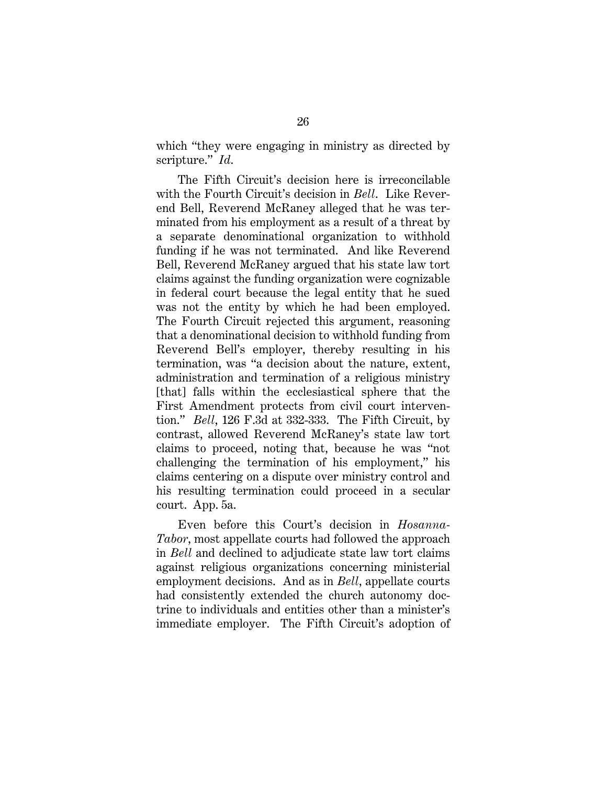which "they were engaging in ministry as directed by scripture." *Id*.

The Fifth Circuit's decision here is irreconcilable with the Fourth Circuit's decision in *Bell*. Like Reverend Bell, Reverend McRaney alleged that he was terminated from his employment as a result of a threat by a separate denominational organization to withhold funding if he was not terminated. And like Reverend Bell, Reverend McRaney argued that his state law tort claims against the funding organization were cognizable in federal court because the legal entity that he sued was not the entity by which he had been employed. The Fourth Circuit rejected this argument, reasoning that a denominational decision to withhold funding from Reverend Bell's employer, thereby resulting in his termination, was "a decision about the nature, extent, administration and termination of a religious ministry [that] falls within the ecclesiastical sphere that the First Amendment protects from civil court intervention." *Bell*, 126 F.3d at 332-333. The Fifth Circuit, by contrast, allowed Reverend McRaney's state law tort claims to proceed, noting that, because he was "not challenging the termination of his employment," his claims centering on a dispute over ministry control and his resulting termination could proceed in a secular court. App. 5a.

Even before this Court's decision in *Hosanna-Tabor*, most appellate courts had followed the approach in *Bell* and declined to adjudicate state law tort claims against religious organizations concerning ministerial employment decisions. And as in *Bell*, appellate courts had consistently extended the church autonomy doctrine to individuals and entities other than a minister's immediate employer. The Fifth Circuit's adoption of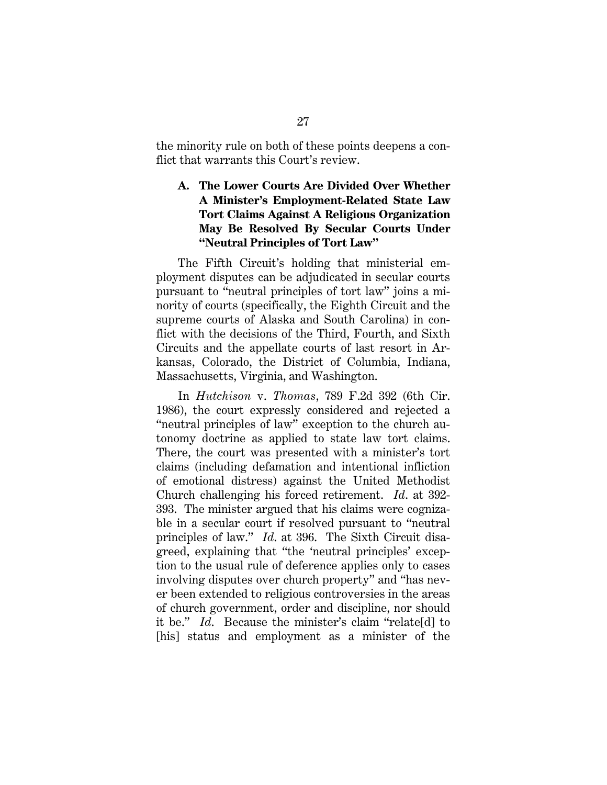the minority rule on both of these points deepens a conflict that warrants this Court's review.

## **A. The Lower Courts Are Divided Over Whether A Minister's Employment-Related State Law Tort Claims Against A Religious Organization May Be Resolved By Secular Courts Under "Neutral Principles of Tort Law"**

The Fifth Circuit's holding that ministerial employment disputes can be adjudicated in secular courts pursuant to "neutral principles of tort law" joins a minority of courts (specifically, the Eighth Circuit and the supreme courts of Alaska and South Carolina) in conflict with the decisions of the Third, Fourth, and Sixth Circuits and the appellate courts of last resort in Arkansas, Colorado, the District of Columbia, Indiana, Massachusetts, Virginia, and Washington.

In *Hutchison* v. *Thomas*, 789 F.2d 392 (6th Cir. 1986), the court expressly considered and rejected a "neutral principles of law" exception to the church autonomy doctrine as applied to state law tort claims. There, the court was presented with a minister's tort claims (including defamation and intentional infliction of emotional distress) against the United Methodist Church challenging his forced retirement. *Id*. at 392- 393. The minister argued that his claims were cognizable in a secular court if resolved pursuant to "neutral principles of law." *Id*. at 396. The Sixth Circuit disagreed, explaining that "the 'neutral principles' exception to the usual rule of deference applies only to cases involving disputes over church property" and "has never been extended to religious controversies in the areas of church government, order and discipline, nor should it be." *Id*. Because the minister's claim "relate[d] to [his] status and employment as a minister of the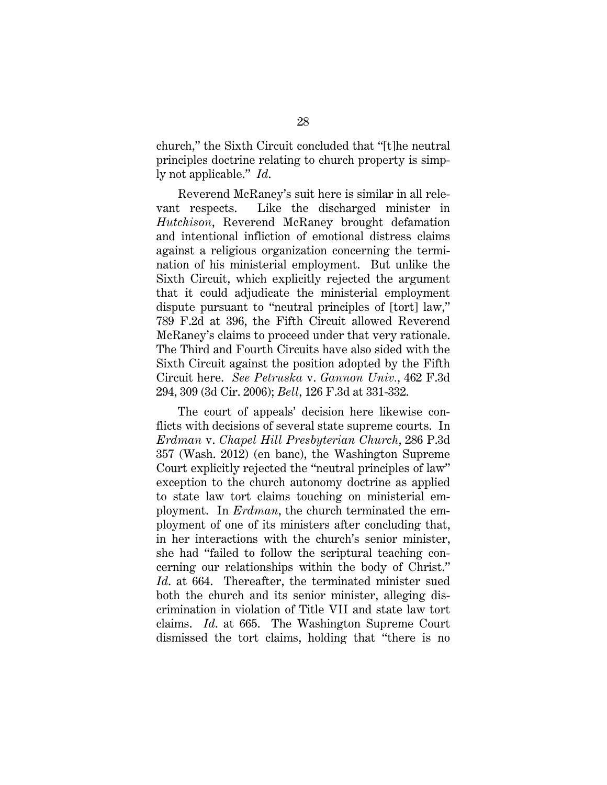church," the Sixth Circuit concluded that "[t]he neutral principles doctrine relating to church property is simply not applicable." *Id*.

Reverend McRaney's suit here is similar in all relevant respects. Like the discharged minister in *Hutchison*, Reverend McRaney brought defamation and intentional infliction of emotional distress claims against a religious organization concerning the termination of his ministerial employment. But unlike the Sixth Circuit, which explicitly rejected the argument that it could adjudicate the ministerial employment dispute pursuant to "neutral principles of [tort] law," 789 F.2d at 396, the Fifth Circuit allowed Reverend McRaney's claims to proceed under that very rationale. The Third and Fourth Circuits have also sided with the Sixth Circuit against the position adopted by the Fifth Circuit here. *See Petruska* v. *Gannon Univ.*, 462 F.3d 294, 309 (3d Cir. 2006); *Bell*, 126 F.3d at 331-332.

The court of appeals' decision here likewise conflicts with decisions of several state supreme courts. In *Erdman* v. *Chapel Hill Presbyterian Church*, 286 P.3d 357 (Wash. 2012) (en banc), the Washington Supreme Court explicitly rejected the "neutral principles of law" exception to the church autonomy doctrine as applied to state law tort claims touching on ministerial employment. In *Erdman*, the church terminated the employment of one of its ministers after concluding that, in her interactions with the church's senior minister, she had "failed to follow the scriptural teaching concerning our relationships within the body of Christ." *Id.* at 664. Thereafter, the terminated minister sued both the church and its senior minister, alleging discrimination in violation of Title VII and state law tort claims. *Id*. at 665. The Washington Supreme Court dismissed the tort claims, holding that "there is no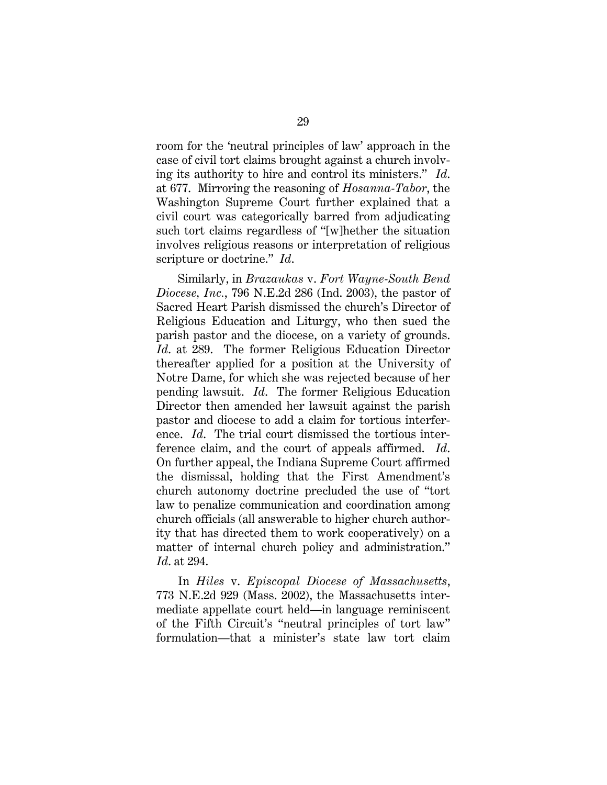room for the 'neutral principles of law' approach in the case of civil tort claims brought against a church involving its authority to hire and control its ministers." *Id*. at 677. Mirroring the reasoning of *Hosanna-Tabor*, the Washington Supreme Court further explained that a civil court was categorically barred from adjudicating such tort claims regardless of "[w]hether the situation involves religious reasons or interpretation of religious scripture or doctrine." *Id*.

Similarly, in *Brazaukas* v. *Fort Wayne-South Bend Diocese, Inc.*, 796 N.E.2d 286 (Ind. 2003), the pastor of Sacred Heart Parish dismissed the church's Director of Religious Education and Liturgy, who then sued the parish pastor and the diocese, on a variety of grounds. *Id*. at 289. The former Religious Education Director thereafter applied for a position at the University of Notre Dame, for which she was rejected because of her pending lawsuit. *Id*. The former Religious Education Director then amended her lawsuit against the parish pastor and diocese to add a claim for tortious interference. *Id*. The trial court dismissed the tortious interference claim, and the court of appeals affirmed. *Id*. On further appeal, the Indiana Supreme Court affirmed the dismissal, holding that the First Amendment's church autonomy doctrine precluded the use of "tort law to penalize communication and coordination among church officials (all answerable to higher church authority that has directed them to work cooperatively) on a matter of internal church policy and administration." *Id*. at 294.

In *Hiles* v. *Episcopal Diocese of Massachusetts*, 773 N.E.2d 929 (Mass. 2002), the Massachusetts intermediate appellate court held—in language reminiscent of the Fifth Circuit's "neutral principles of tort law" formulation—that a minister's state law tort claim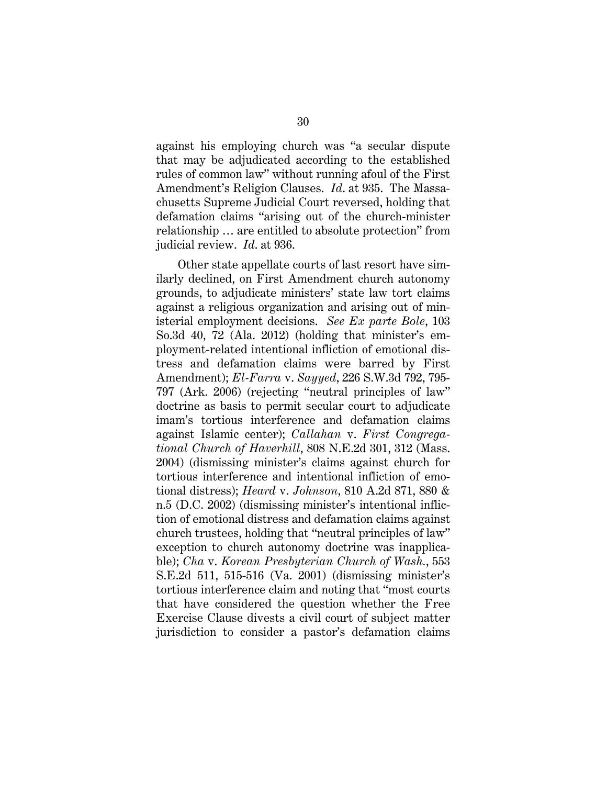against his employing church was "a secular dispute that may be adjudicated according to the established rules of common law" without running afoul of the First Amendment's Religion Clauses. *Id*. at 935. The Massachusetts Supreme Judicial Court reversed, holding that defamation claims "arising out of the church-minister relationship … are entitled to absolute protection" from judicial review. *Id*. at 936.

Other state appellate courts of last resort have similarly declined, on First Amendment church autonomy grounds, to adjudicate ministers' state law tort claims against a religious organization and arising out of ministerial employment decisions. *See Ex parte Bole*, 103 So.3d 40, 72 (Ala. 2012) (holding that minister's employment-related intentional infliction of emotional distress and defamation claims were barred by First Amendment); *El-Farra* v. *Sayyed*, 226 S.W.3d 792, 795- 797 (Ark. 2006) (rejecting "neutral principles of law" doctrine as basis to permit secular court to adjudicate imam's tortious interference and defamation claims against Islamic center); *Callahan* v. *First Congregational Church of Haverhill*, 808 N.E.2d 301, 312 (Mass. 2004) (dismissing minister's claims against church for tortious interference and intentional infliction of emotional distress); *Heard* v. *Johnson*, 810 A.2d 871, 880 & n.5 (D.C. 2002) (dismissing minister's intentional infliction of emotional distress and defamation claims against church trustees, holding that "neutral principles of law" exception to church autonomy doctrine was inapplicable); *Cha* v. *Korean Presbyterian Church of Wash.*, 553 S.E.2d 511, 515-516 (Va. 2001) (dismissing minister's tortious interference claim and noting that "most courts that have considered the question whether the Free Exercise Clause divests a civil court of subject matter jurisdiction to consider a pastor's defamation claims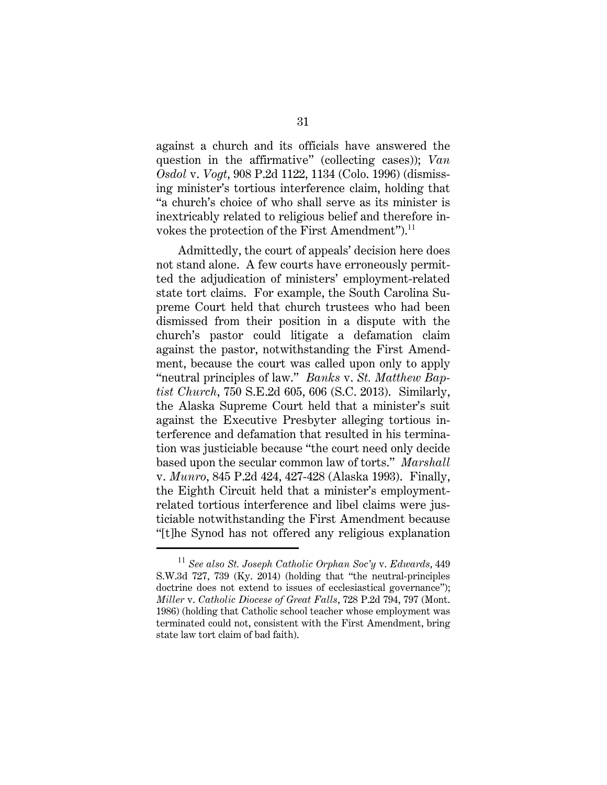against a church and its officials have answered the question in the affirmative" (collecting cases)); *Van Osdol* v. *Vogt*, 908 P.2d 1122, 1134 (Colo. 1996) (dismissing minister's tortious interference claim, holding that "a church's choice of who shall serve as its minister is inextricably related to religious belief and therefore invokes the protection of the First Amendment").<sup>11</sup>

Admittedly, the court of appeals' decision here does not stand alone. A few courts have erroneously permitted the adjudication of ministers' employment-related state tort claims. For example, the South Carolina Supreme Court held that church trustees who had been dismissed from their position in a dispute with the church's pastor could litigate a defamation claim against the pastor, notwithstanding the First Amendment, because the court was called upon only to apply "neutral principles of law." *Banks* v. *St. Matthew Baptist Church*, 750 S.E.2d 605, 606 (S.C. 2013). Similarly, the Alaska Supreme Court held that a minister's suit against the Executive Presbyter alleging tortious interference and defamation that resulted in his termination was justiciable because "the court need only decide based upon the secular common law of torts." *Marshall* v. *Munro*, 845 P.2d 424, 427-428 (Alaska 1993). Finally, the Eighth Circuit held that a minister's employmentrelated tortious interference and libel claims were justiciable notwithstanding the First Amendment because "[t]he Synod has not offered any religious explanation

<sup>11</sup> *See also St. Joseph Catholic Orphan Soc'y* v. *Edwards*, 449 S.W.3d 727, 739 (Ky. 2014) (holding that "the neutral-principles doctrine does not extend to issues of ecclesiastical governance"); *Miller* v. *Catholic Diocese of Great Falls*, 728 P.2d 794, 797 (Mont. 1986) (holding that Catholic school teacher whose employment was terminated could not, consistent with the First Amendment, bring state law tort claim of bad faith).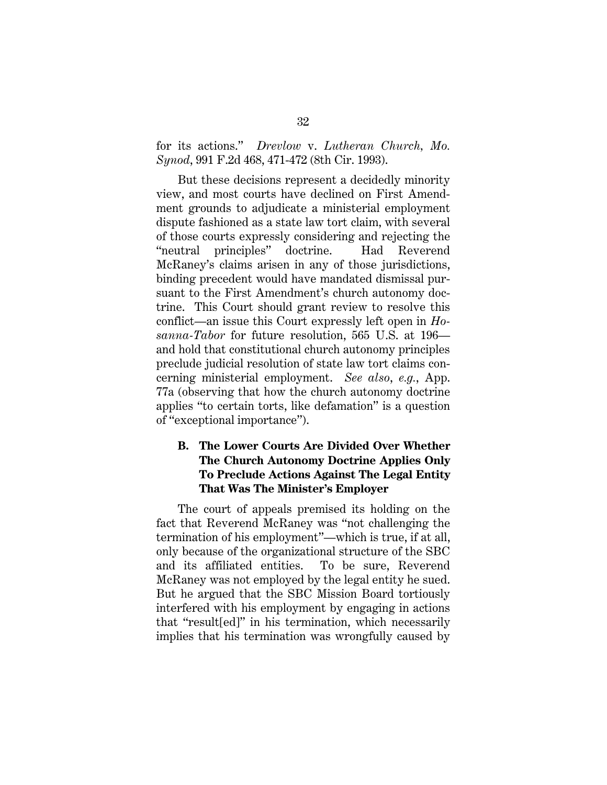for its actions." *Drevlow* v. *Lutheran Church, Mo. Synod*, 991 F.2d 468, 471-472 (8th Cir. 1993).

But these decisions represent a decidedly minority view, and most courts have declined on First Amendment grounds to adjudicate a ministerial employment dispute fashioned as a state law tort claim, with several of those courts expressly considering and rejecting the "neutral principles" doctrine. Had Reverend McRaney's claims arisen in any of those jurisdictions, binding precedent would have mandated dismissal pursuant to the First Amendment's church autonomy doctrine. This Court should grant review to resolve this conflict—an issue this Court expressly left open in *Hosanna-Tabor* for future resolution, 565 U.S. at 196 and hold that constitutional church autonomy principles preclude judicial resolution of state law tort claims concerning ministerial employment. *See also*, *e.g.*, App. 77a (observing that how the church autonomy doctrine applies "to certain torts, like defamation" is a question of "exceptional importance").

### **B. The Lower Courts Are Divided Over Whether The Church Autonomy Doctrine Applies Only To Preclude Actions Against The Legal Entity That Was The Minister's Employer**

The court of appeals premised its holding on the fact that Reverend McRaney was "not challenging the termination of his employment"—which is true, if at all, only because of the organizational structure of the SBC and its affiliated entities. To be sure, Reverend McRaney was not employed by the legal entity he sued. But he argued that the SBC Mission Board tortiously interfered with his employment by engaging in actions that "result[ed]" in his termination, which necessarily implies that his termination was wrongfully caused by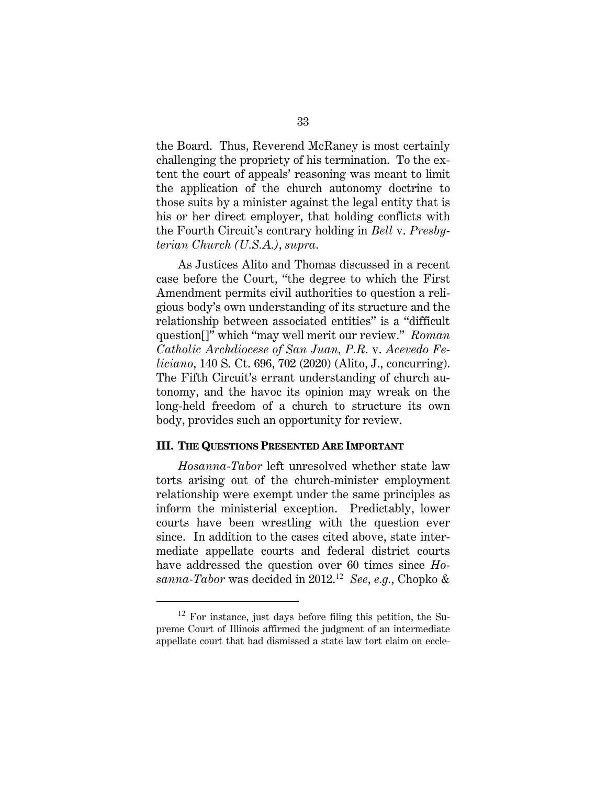the Board. Thus, Reverend McRaney is most certainly challenging the propriety of his termination. To the extent the court of appeals' reasoning was meant to limit the application of the church autonomy doctrine to those suits by a minister against the legal entity that is his or her direct employer, that holding conflicts with the Fourth Circuit's contrary holding in *Bell* v. *Presbyterian Church (U.S.A.)*, *supra*.

As Justices Alito and Thomas discussed in a recent case before the Court, "the degree to which the First Amendment permits civil authorities to question a religious body's own understanding of its structure and the relationship between associated entities" is a "difficult question[]" which "may well merit our review." *Roman Catholic Archdiocese of San Juan, P.R.* v. *Acevedo Feliciano*, 140 S. Ct. 696, 702 (2020) (Alito, J., concurring). The Fifth Circuit's errant understanding of church autonomy, and the havoc its opinion may wreak on the long-held freedom of a church to structure its own body, provides such an opportunity for review.

#### **III. THE QUESTIONS PRESENTED ARE IMPORTANT**

*Hosanna-Tabor* left unresolved whether state law torts arising out of the church-minister employment relationship were exempt under the same principles as inform the ministerial exception. Predictably, lower courts have been wrestling with the question ever since. In addition to the cases cited above, state intermediate appellate courts and federal district courts have addressed the question over 60 times since *Hosanna-Tabor* was decided in 2012.<sup>12</sup> *See*, *e.g.*, Chopko &

 $12$  For instance, just days before filing this petition, the Supreme Court of Illinois affirmed the judgment of an intermediate appellate court that had dismissed a state law tort claim on eccle-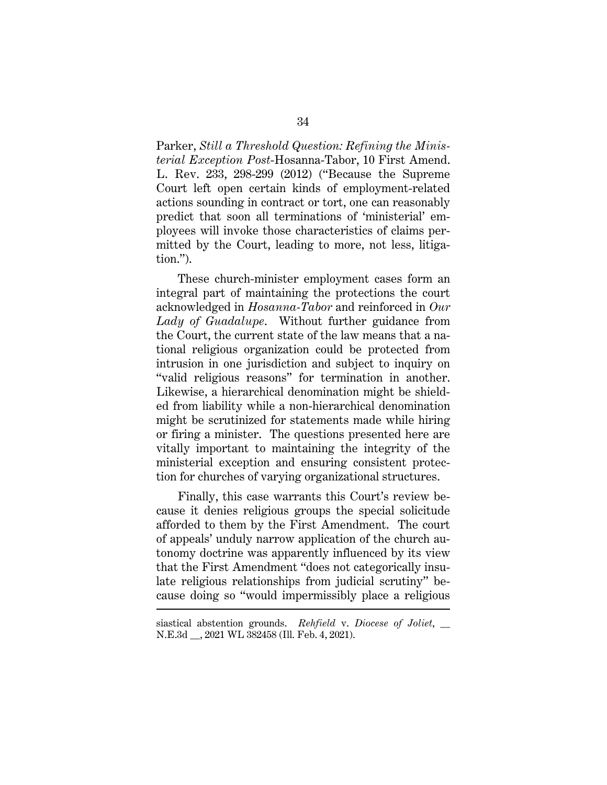Parker, *Still a Threshold Question: Refining the Ministerial Exception Post*-Hosanna-Tabor, 10 First Amend. L. Rev. 233, 298-299 (2012) ("Because the Supreme Court left open certain kinds of employment-related actions sounding in contract or tort, one can reasonably predict that soon all terminations of 'ministerial' employees will invoke those characteristics of claims permitted by the Court, leading to more, not less, litigation.").

These church-minister employment cases form an integral part of maintaining the protections the court acknowledged in *Hosanna-Tabor* and reinforced in *Our Lady of Guadalupe*. Without further guidance from the Court, the current state of the law means that a national religious organization could be protected from intrusion in one jurisdiction and subject to inquiry on "valid religious reasons" for termination in another. Likewise, a hierarchical denomination might be shielded from liability while a non-hierarchical denomination might be scrutinized for statements made while hiring or firing a minister. The questions presented here are vitally important to maintaining the integrity of the ministerial exception and ensuring consistent protection for churches of varying organizational structures.

Finally, this case warrants this Court's review because it denies religious groups the special solicitude afforded to them by the First Amendment. The court of appeals' unduly narrow application of the church autonomy doctrine was apparently influenced by its view that the First Amendment "does not categorically insulate religious relationships from judicial scrutiny" because doing so "would impermissibly place a religious

siastical abstention grounds. *Rehfield* v. *Diocese of Joliet*, \_\_ N.E.3d \_\_, 2021 WL 382458 (Ill. Feb. 4, 2021).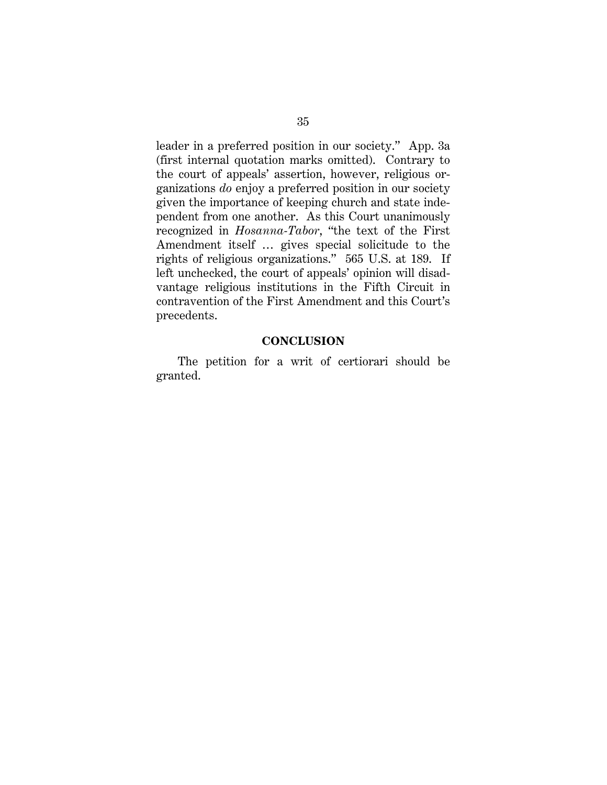leader in a preferred position in our society." App. 3a (first internal quotation marks omitted). Contrary to the court of appeals' assertion, however, religious organizations *do* enjoy a preferred position in our society given the importance of keeping church and state independent from one another. As this Court unanimously recognized in *Hosanna-Tabor*, "the text of the First Amendment itself … gives special solicitude to the rights of religious organizations." 565 U.S. at 189. If left unchecked, the court of appeals' opinion will disadvantage religious institutions in the Fifth Circuit in contravention of the First Amendment and this Court's precedents.

### **CONCLUSION**

The petition for a writ of certiorari should be granted.